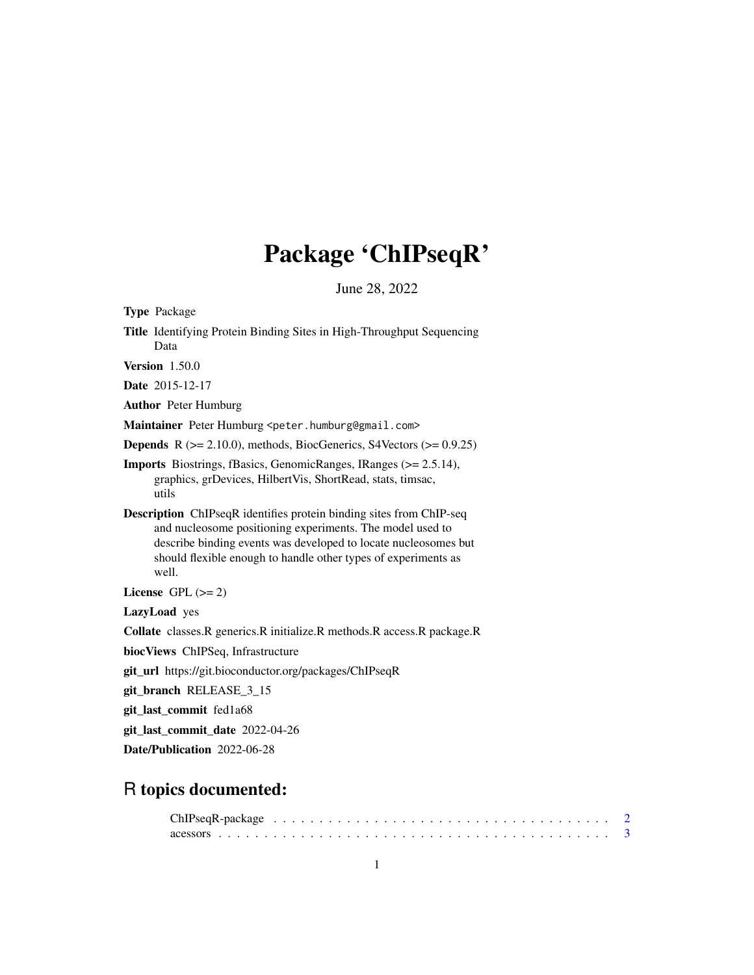# Package 'ChIPseqR'

June 28, 2022

<span id="page-0-0"></span>

| <b>Type Package</b>                                                                                                                                                                                                                                                                   |  |  |  |  |  |
|---------------------------------------------------------------------------------------------------------------------------------------------------------------------------------------------------------------------------------------------------------------------------------------|--|--|--|--|--|
| Title Identifying Protein Binding Sites in High-Throughput Sequencing<br>Data                                                                                                                                                                                                         |  |  |  |  |  |
| <b>Version</b> 1.50.0                                                                                                                                                                                                                                                                 |  |  |  |  |  |
| Date 2015-12-17                                                                                                                                                                                                                                                                       |  |  |  |  |  |
| <b>Author</b> Peter Humburg                                                                                                                                                                                                                                                           |  |  |  |  |  |
| Maintainer Peter Humburg <peter.humburg@gmail.com></peter.humburg@gmail.com>                                                                                                                                                                                                          |  |  |  |  |  |
| <b>Depends</b> $R$ ( $>= 2.10.0$ ), methods, BiocGenerics, S4Vectors ( $>= 0.9.25$ )                                                                                                                                                                                                  |  |  |  |  |  |
| <b>Imports</b> Biostrings, fBasics, GenomicRanges, IRanges (>= 2.5.14),<br>graphics, grDevices, HilbertVis, ShortRead, stats, timsac,<br>utils                                                                                                                                        |  |  |  |  |  |
| <b>Description</b> ChIPseqR identifies protein binding sites from ChIP-seq<br>and nucleosome positioning experiments. The model used to<br>describe binding events was developed to locate nucleosomes but<br>should flexible enough to handle other types of experiments as<br>well. |  |  |  |  |  |
| License GPL $(>= 2)$                                                                                                                                                                                                                                                                  |  |  |  |  |  |
| LazyLoad yes                                                                                                                                                                                                                                                                          |  |  |  |  |  |
| Collate classes. R generics. R initialize. R methods. R access. R package. R                                                                                                                                                                                                          |  |  |  |  |  |
| biocViews ChIPSeq, Infrastructure                                                                                                                                                                                                                                                     |  |  |  |  |  |
| git_url https://git.bioconductor.org/packages/ChIPseqR                                                                                                                                                                                                                                |  |  |  |  |  |
| git_branch RELEASE_3_15                                                                                                                                                                                                                                                               |  |  |  |  |  |
| git_last_commit fed1a68                                                                                                                                                                                                                                                               |  |  |  |  |  |
| git_last_commit_date 2022-04-26                                                                                                                                                                                                                                                       |  |  |  |  |  |
| Date/Publication 2022-06-28                                                                                                                                                                                                                                                           |  |  |  |  |  |
|                                                                                                                                                                                                                                                                                       |  |  |  |  |  |

# R topics documented: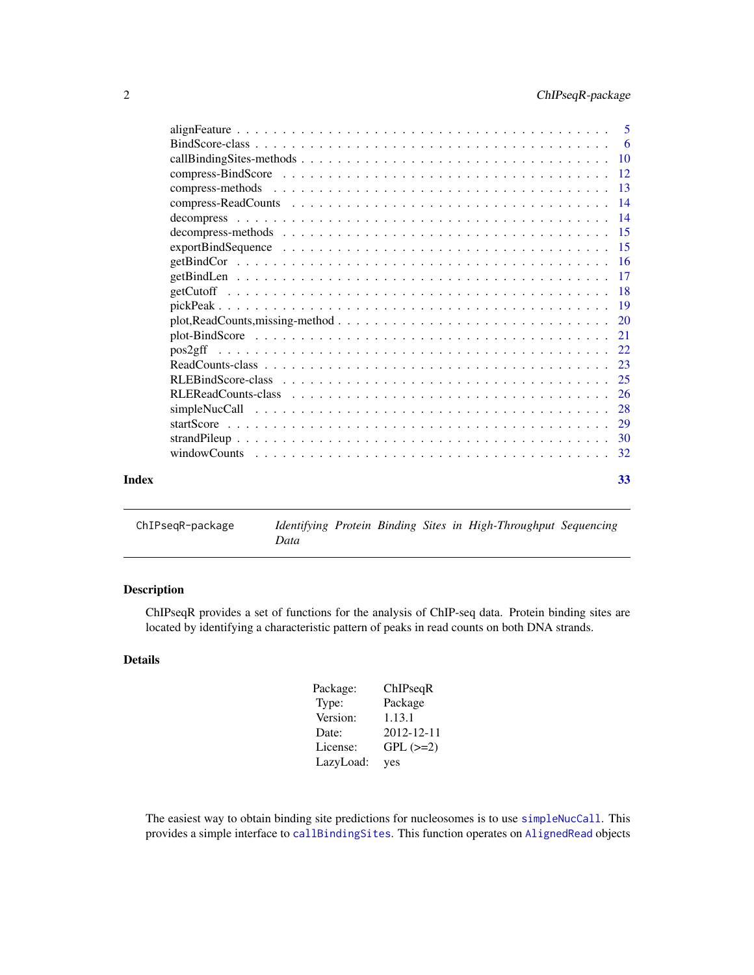<span id="page-1-0"></span>

|       | $plot, ReadCounts, missing-method \dots \dots \dots \dots \dots \dots \dots \dots \dots \dots \dots \dots \dots \dots \dots \dots \dots \dots$ |    |
|-------|------------------------------------------------------------------------------------------------------------------------------------------------|----|
|       |                                                                                                                                                |    |
|       |                                                                                                                                                |    |
|       |                                                                                                                                                |    |
|       |                                                                                                                                                |    |
|       |                                                                                                                                                |    |
|       |                                                                                                                                                |    |
|       |                                                                                                                                                |    |
|       |                                                                                                                                                |    |
|       |                                                                                                                                                |    |
| Index |                                                                                                                                                | 33 |
|       |                                                                                                                                                |    |

ChIPseqR-package *Identifying Protein Binding Sites in High-Throughput Sequencing Data*

# Description

ChIPseqR provides a set of functions for the analysis of ChIP-seq data. Protein binding sites are located by identifying a characteristic pattern of peaks in read counts on both DNA strands.

# Details

| Package:  | ChIPseqR      |
|-----------|---------------|
| Type:     | Package       |
| Version:  | 1.13.1        |
| Date:     | 2012-12-11    |
| License:  | $GPL$ $(>=2)$ |
| LazyLoad: | yes           |

The easiest way to obtain binding site predictions for nucleosomes is to use [simpleNucCall](#page-27-1). This provides a simple interface to [callBindingSites](#page-9-1). This function operates on [AlignedRead](#page-0-0) objects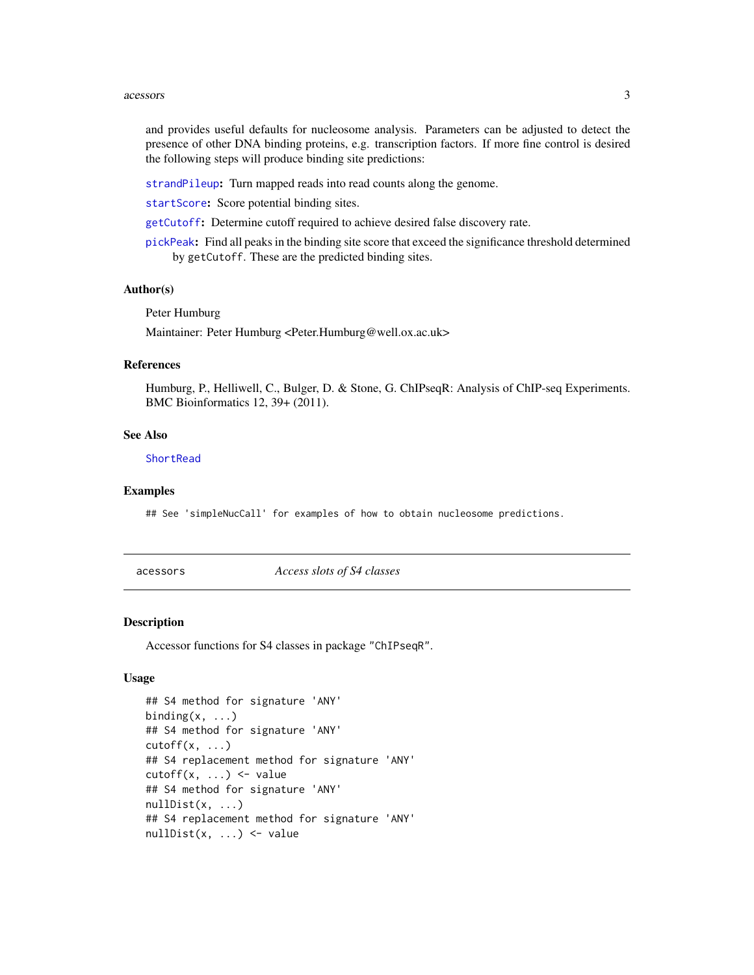#### <span id="page-2-0"></span>acessors 3

and provides useful defaults for nucleosome analysis. Parameters can be adjusted to detect the presence of other DNA binding proteins, e.g. transcription factors. If more fine control is desired the following steps will produce binding site predictions:

[strandPileup](#page-29-1): Turn mapped reads into read counts along the genome.

[startScore](#page-28-1): Score potential binding sites.

[getCutoff](#page-17-1): Determine cutoff required to achieve desired false discovery rate.

[pickPeak](#page-18-1): Find all peaks in the binding site score that exceed the significance threshold determined by getCutoff. These are the predicted binding sites.

#### Author(s)

Peter Humburg

Maintainer: Peter Humburg <Peter.Humburg@well.ox.ac.uk>

#### References

Humburg, P., Helliwell, C., Bulger, D. & Stone, G. ChIPseqR: Analysis of ChIP-seq Experiments. BMC Bioinformatics 12, 39+ (2011).

#### See Also

**[ShortRead](#page-0-0)** 

#### Examples

## See 'simpleNucCall' for examples of how to obtain nucleosome predictions.

acessors *Access slots of S4 classes*

#### Description

Accessor functions for S4 classes in package "ChIPseqR".

```
## S4 method for signature 'ANY'
binding(x, \ldots)## S4 method for signature 'ANY'
cutoff(x, \ldots)## S4 replacement method for signature 'ANY'
cutoff(x, \ldots) \leq value## S4 method for signature 'ANY'
nullDist(x, \ldots)## S4 replacement method for signature 'ANY'
nullDist(x, ...) <- value
```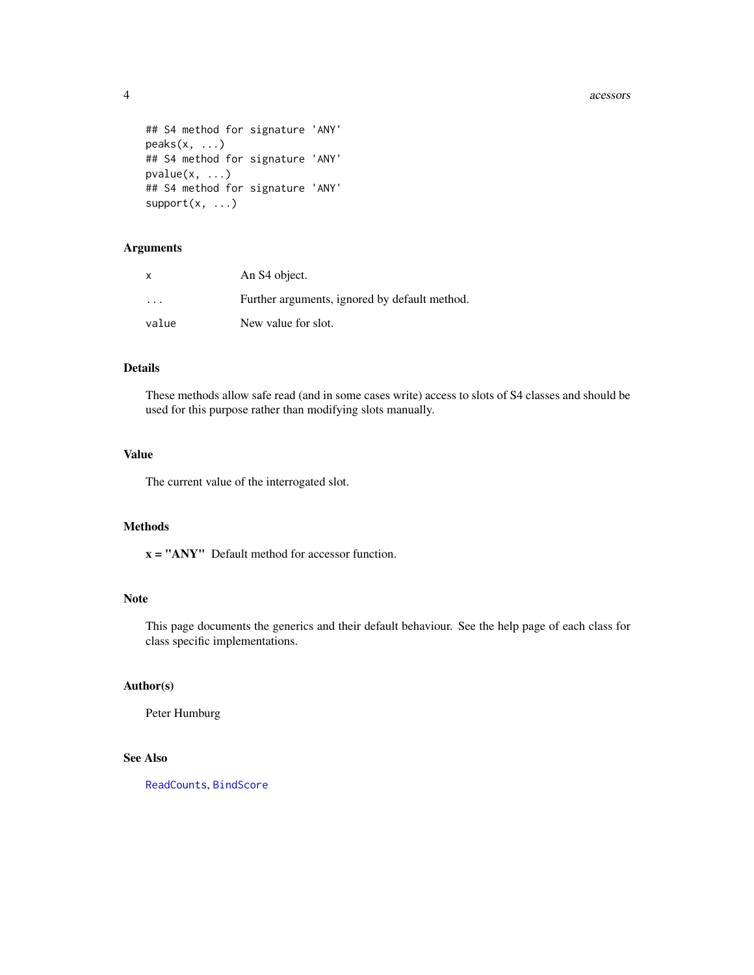acessors are a set of the set of the set of the set of the set of the set of the set of the set of the set of the set of the set of the set of the set of the set of the set of the set of the set of the set of the set of th

```
## S4 method for signature 'ANY'
peaks(x, \ldots)## S4 method for signature 'ANY'
pvalue(x, ...)
## S4 method for signature 'ANY'
support(x, \ldots)
```
# Arguments

| x                       | An S <sub>4</sub> object.                     |
|-------------------------|-----------------------------------------------|
| $\cdot$ $\cdot$ $\cdot$ | Further arguments, ignored by default method. |
| value                   | New value for slot.                           |

# Details

These methods allow safe read (and in some cases write) access to slots of S4 classes and should be used for this purpose rather than modifying slots manually.

# Value

The current value of the interrogated slot.

#### Methods

x = "ANY" Default method for accessor function.

# Note

This page documents the generics and their default behaviour. See the help page of each class for class specific implementations.

# Author(s)

Peter Humburg

# See Also

[ReadCounts](#page-22-1), [BindScore](#page-5-1)

<span id="page-3-0"></span>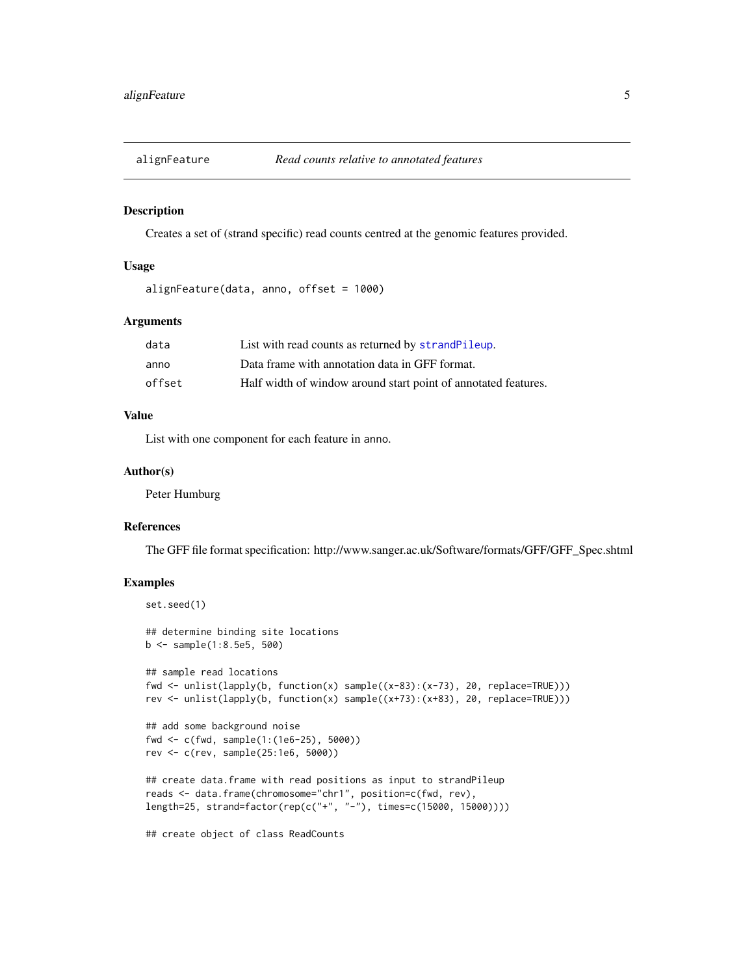<span id="page-4-0"></span>

#### Description

Creates a set of (strand specific) read counts centred at the genomic features provided.

# Usage

```
alignFeature(data, anno, offset = 1000)
```
#### Arguments

| data   | List with read counts as returned by strandPileup.             |
|--------|----------------------------------------------------------------|
| anno   | Data frame with annotation data in GFF format.                 |
| offset | Half width of window around start point of annotated features. |

#### Value

List with one component for each feature in anno.

#### Author(s)

Peter Humburg

#### References

The GFF file format specification: http://www.sanger.ac.uk/Software/formats/GFF/GFF\_Spec.shtml

# Examples

```
set.seed(1)
## determine binding site locations
b <- sample(1:8.5e5, 500)
## sample read locations
fwd <- unlist(lapply(b, function(x) sample((x-83):(x-73), 20, replace=TRUE)))
rev <- unlist(lapply(b, function(x) sample((x+73):(x+83), 20, replace=TRUE)))
## add some background noise
fwd <- c(fwd, sample(1:(1e6-25), 5000))
rev <- c(rev, sample(25:1e6, 5000))
## create data.frame with read positions as input to strandPileup
reads <- data.frame(chromosome="chr1", position=c(fwd, rev),
length=25, strand=factor(rep(c("+", "-"), times=c(15000, 15000))))
```
## create object of class ReadCounts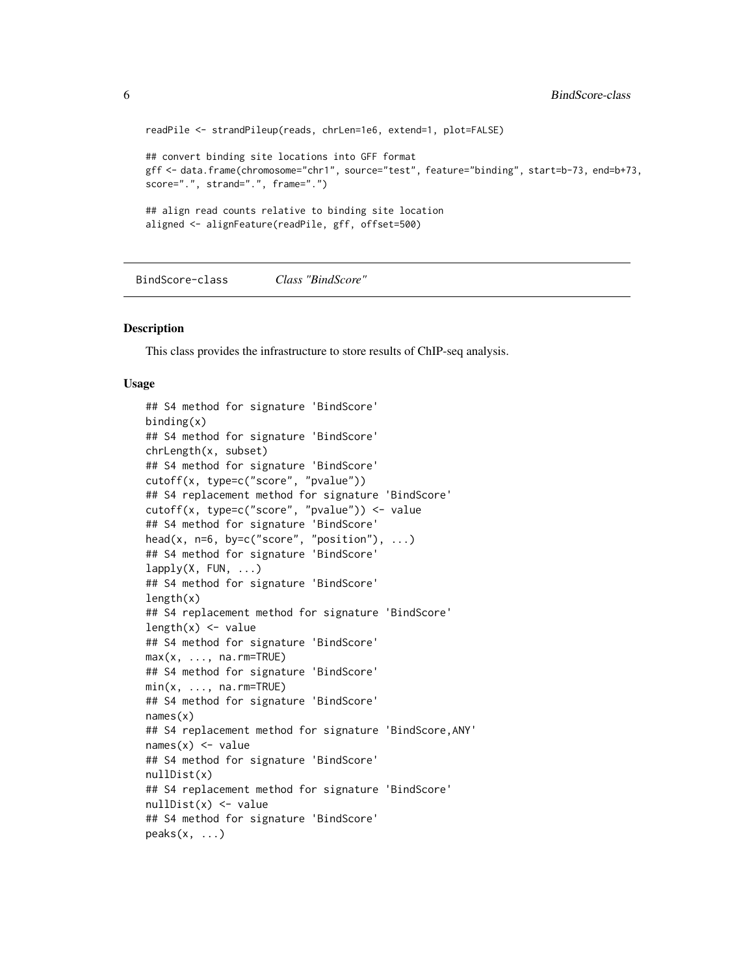```
readPile <- strandPileup(reads, chrLen=1e6, extend=1, plot=FALSE)
## convert binding site locations into GFF format
gff <- data.frame(chromosome="chr1", source="test", feature="binding", start=b-73, end=b+73,
score=".", strand=".", frame=".")
## align read counts relative to binding site location
aligned <- alignFeature(readPile, gff, offset=500)
```
<span id="page-5-1"></span>BindScore-class *Class "BindScore"*

#### Description

This class provides the infrastructure to store results of ChIP-seq analysis.

```
## S4 method for signature 'BindScore'
binding(x)
## S4 method for signature 'BindScore'
chrLength(x, subset)
## S4 method for signature 'BindScore'
cutoff(x, type=c("score", "pvalue"))
## S4 replacement method for signature 'BindScore'
cutoff(x, type=c("score", "pvalue")) <- value
## S4 method for signature 'BindScore'
head(x, n=6, by=c("score", "position"), ...)
## S4 method for signature 'BindScore'
lapply(X, FUN, ...)## S4 method for signature 'BindScore'
length(x)
## S4 replacement method for signature 'BindScore'
length(x) <- value
## S4 method for signature 'BindScore'
max(x, ..., na.rm=TRUE)## S4 method for signature 'BindScore'
min(x, ..., na.rm=TRUE)## S4 method for signature 'BindScore'
names(x)
## S4 replacement method for signature 'BindScore,ANY'
names(x) <- value
## S4 method for signature 'BindScore'
nullDist(x)
## S4 replacement method for signature 'BindScore'
nullDist(x) <- value
## S4 method for signature 'BindScore'
peaks(x, \ldots)
```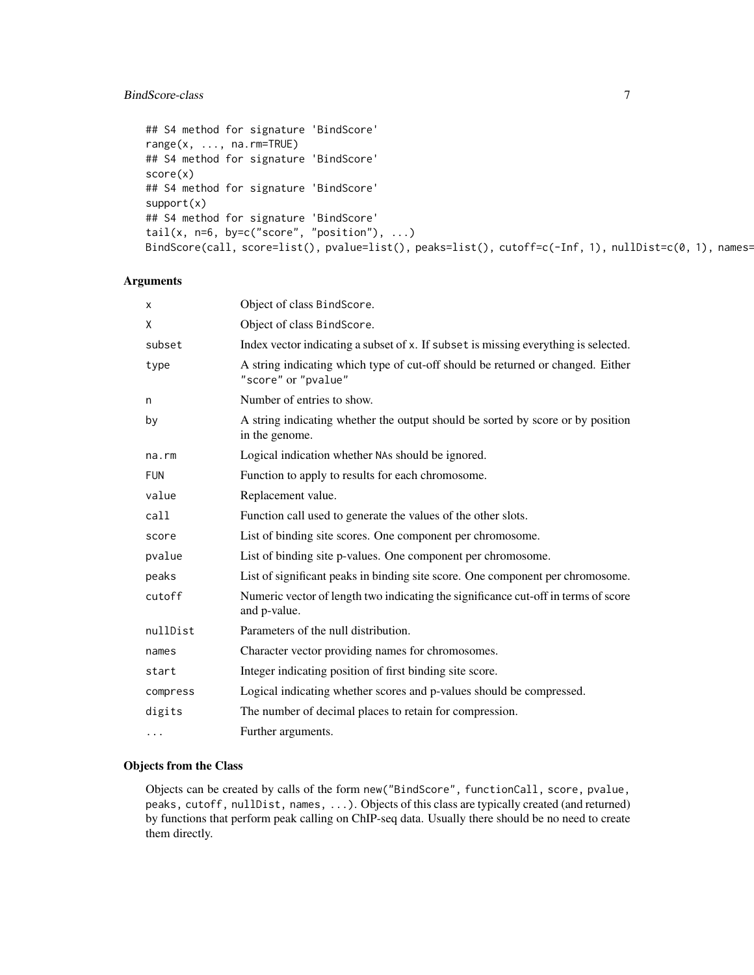# BindScore-class 7

```
## S4 method for signature 'BindScore'
range(x, ..., na.rm=TRUE)
## S4 method for signature 'BindScore'
score(x)
## S4 method for signature 'BindScore'
support(x)
## S4 method for signature 'BindScore'
tail(x, n=6, by=c("score", "position"), ...)
BindScore(call, score=list(), pvalue=list(), peaks=list(), cutoff=c(-Inf, 1), nullDist=c(0, 1), names=
```
# Arguments

| X          | Object of class BindScore.                                                                             |
|------------|--------------------------------------------------------------------------------------------------------|
| Χ          | Object of class BindScore.                                                                             |
| subset     | Index vector indicating a subset of x. If subset is missing everything is selected.                    |
| type       | A string indicating which type of cut-off should be returned or changed. Either<br>"score" or "pvalue" |
| n          | Number of entries to show.                                                                             |
| by         | A string indicating whether the output should be sorted by score or by position<br>in the genome.      |
| na.rm      | Logical indication whether NAs should be ignored.                                                      |
| <b>FUN</b> | Function to apply to results for each chromosome.                                                      |
| value      | Replacement value.                                                                                     |
| call       | Function call used to generate the values of the other slots.                                          |
| score      | List of binding site scores. One component per chromosome.                                             |
| pvalue     | List of binding site p-values. One component per chromosome.                                           |
| peaks      | List of significant peaks in binding site score. One component per chromosome.                         |
| cutoff     | Numeric vector of length two indicating the significance cut-off in terms of score<br>and p-value.     |
| nullDist   | Parameters of the null distribution.                                                                   |
| names      | Character vector providing names for chromosomes.                                                      |
| start      | Integer indicating position of first binding site score.                                               |
| compress   | Logical indicating whether scores and p-values should be compressed.                                   |
| digits     | The number of decimal places to retain for compression.                                                |
| $\cdots$   | Further arguments.                                                                                     |

# Objects from the Class

Objects can be created by calls of the form new("BindScore", functionCall, score, pvalue, peaks, cutoff, nullDist, names, ...). Objects of this class are typically created (and returned) by functions that perform peak calling on ChIP-seq data. Usually there should be no need to create them directly.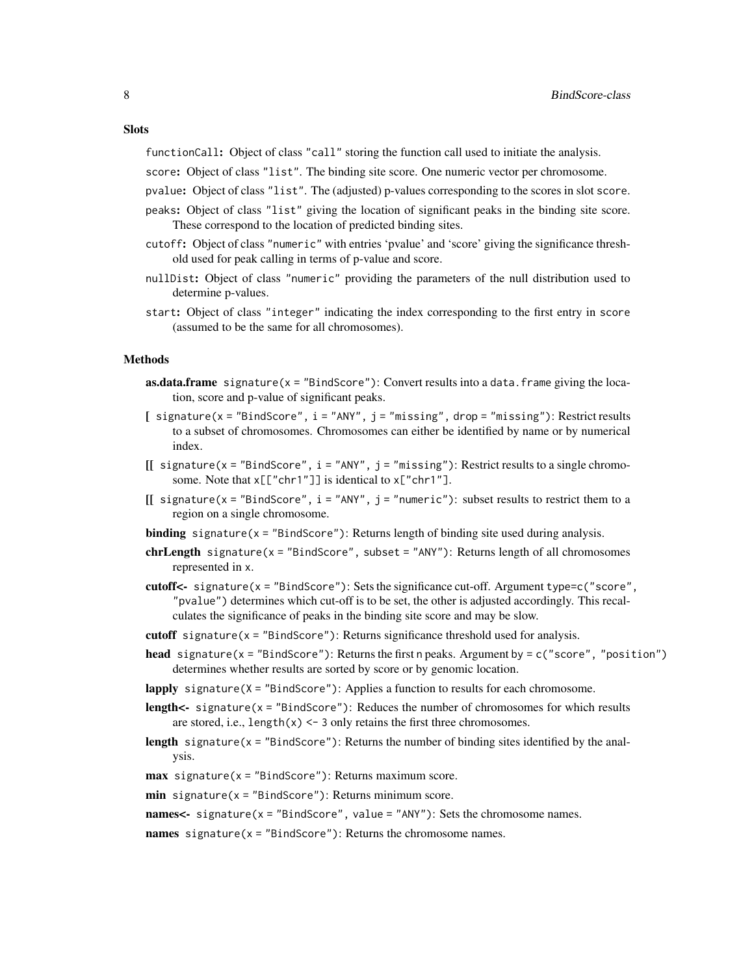#### **Slots**

functionCall: Object of class "call" storing the function call used to initiate the analysis.

score: Object of class "list". The binding site score. One numeric vector per chromosome.

- pvalue: Object of class "list". The (adjusted) p-values corresponding to the scores in slot score.
- peaks: Object of class "list" giving the location of significant peaks in the binding site score. These correspond to the location of predicted binding sites.
- cutoff: Object of class "numeric" with entries 'pvalue' and 'score' giving the significance threshold used for peak calling in terms of p-value and score.
- nullDist: Object of class "numeric" providing the parameters of the null distribution used to determine p-values.
- start: Object of class "integer" indicating the index corresponding to the first entry in score (assumed to be the same for all chromosomes).

#### Methods

- **as.data.frame** signature( $x =$ "BindScore"): Convert results into a data.frame giving the location, score and p-value of significant peaks.
- [ $sigma(x = "BindScore", i = "ANY", j = "missing", drop = "missing": Restric results$ to a subset of chromosomes. Chromosomes can either be identified by name or by numerical index.
- $[$ [ signature(x = "BindScore", i = "ANY", j = "missing"): Restrict results to a single chromosome. Note that  $x[\lbrack"chr1" \rbrack]$  is identical to  $x[\lbrack"chr1" \rbrack]$ .
- $[$ [ signature(x = "BindScore", i = "ANY", j = "numeric"): subset results to restrict them to a region on a single chromosome.
- **binding** signature( $x =$  "BindScore"): Returns length of binding site used during analysis.
- $chrLength$  signature(x = "BindScore", subset = "ANY"): Returns length of all chromosomes represented in x.
- cutoff<- signature( $x =$ "BindScore"): Sets the significance cut-off. Argument type=c("score", "pvalue") determines which cut-off is to be set, the other is adjusted accordingly. This recalculates the significance of peaks in the binding site score and may be slow.
- cutoff signature( $x =$ "BindScore"): Returns significance threshold used for analysis.
- head signature( $x =$ "BindScore"): Returns the first n peaks. Argument by =  $c$ ("score", "position") determines whether results are sorted by score or by genomic location.

lapply signature( $X =$ "BindScore"): Applies a function to results for each chromosome.

- **length<-** signature( $x =$ "BindScore"): Reduces the number of chromosomes for which results are stored, i.e., length $(x)$  <- 3 only retains the first three chromosomes.
- **length** signature( $x =$  "BindScore"): Returns the number of binding sites identified by the analysis.
- $max$  signature(x = "BindScore"): Returns maximum score.
- $min$  signature(x = "BindScore"): Returns minimum score.

names $\lt$ - signature(x = "BindScore", value = "ANY"): Sets the chromosome names.

names signature( $x =$  "BindScore"): Returns the chromosome names.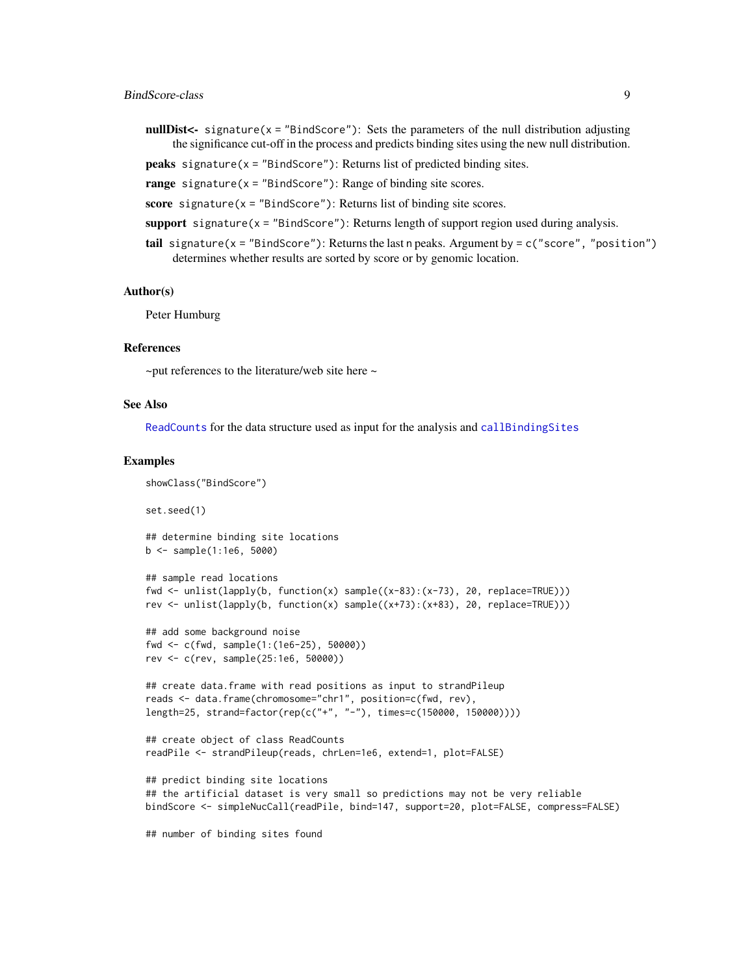- <span id="page-8-0"></span>nullDist<- signature( $x =$ "BindScore"): Sets the parameters of the null distribution adjusting the significance cut-off in the process and predicts binding sites using the new null distribution.
- **peaks** signature( $x =$  "BindScore"): Returns list of predicted binding sites.
- range signature( $x =$  "BindScore"): Range of binding site scores.
- score signature( $x =$  "BindScore"): Returns list of binding site scores.
- support signature( $x =$  "BindScore"): Returns length of support region used during analysis.
- tail signature( $x =$  "BindScore"): Returns the last n peaks. Argument by = c("score", "position") determines whether results are sorted by score or by genomic location.

#### Author(s)

Peter Humburg

#### References

 $\sim$ put references to the literature/web site here  $\sim$ 

#### See Also

[ReadCounts](#page-22-1) for the data structure used as input for the analysis and [callBindingSites](#page-0-0)

#### Examples

```
showClass("BindScore")
set.seed(1)
## determine binding site locations
b <- sample(1:1e6, 5000)
## sample read locations
fwd \le unlist(lapply(b, function(x) sample((x-83):(x-73), 20, replace=TRUE)))
rev <- unlist(lapply(b, function(x) sample((x+73):(x+83), 20, replace=TRUE)))
## add some background noise
fwd <- c(fwd, sample(1:(1e6-25), 50000))
rev <- c(rev, sample(25:1e6, 50000))
## create data.frame with read positions as input to strandPileup
reads <- data.frame(chromosome="chr1", position=c(fwd, rev),
length=25, strand=factor(rep(c("+", "-"), times=c(150000, 150000))))
## create object of class ReadCounts
readPile <- strandPileup(reads, chrLen=1e6, extend=1, plot=FALSE)
## predict binding site locations
## the artificial dataset is very small so predictions may not be very reliable
```
## number of binding sites found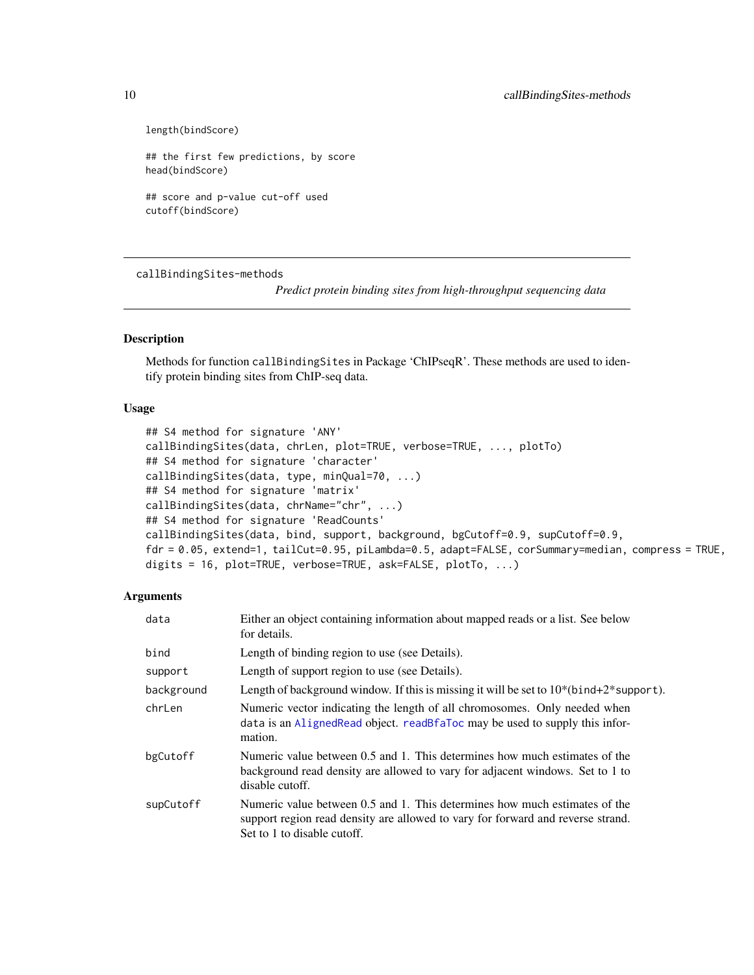```
length(bindScore)
```

```
## the first few predictions, by score
head(bindScore)
```
## score and p-value cut-off used cutoff(bindScore)

callBindingSites-methods

*Predict protein binding sites from high-throughput sequencing data*

# <span id="page-9-1"></span>Description

Methods for function callBindingSites in Package 'ChIPseqR'. These methods are used to identify protein binding sites from ChIP-seq data.

## Usage

```
## S4 method for signature 'ANY'
callBindingSites(data, chrLen, plot=TRUE, verbose=TRUE, ..., plotTo)
## S4 method for signature 'character'
callBindingSites(data, type, minQual=70, ...)
## S4 method for signature 'matrix'
callBindingSites(data, chrName="chr", ...)
## S4 method for signature 'ReadCounts'
callBindingSites(data, bind, support, background, bgCutoff=0.9, supCutoff=0.9,
fdr = 0.05, extend=1, tailCut=0.95, piLambda=0.5, adapt=FALSE, corSummary=median, compress = TRUE,
digits = 16, plot=TRUE, verbose=TRUE, ask=FALSE, plotTo, ...)
```

| data       | Either an object containing information about mapped reads or a list. See below<br>for details.                                                                                              |
|------------|----------------------------------------------------------------------------------------------------------------------------------------------------------------------------------------------|
| bind       | Length of binding region to use (see Details).                                                                                                                                               |
| support    | Length of support region to use (see Details).                                                                                                                                               |
| background | Length of background window. If this is missing it will be set to $10^*$ (bind+2* support).                                                                                                  |
| chrLen     | Numeric vector indicating the length of all chromosomes. Only needed when<br>data is an Aligned Read object. read B fallo carrier and to supply this infor-<br>mation.                       |
| bgCutoff   | Numeric value between 0.5 and 1. This determines how much estimates of the<br>background read density are allowed to vary for adjacent windows. Set to 1 to<br>disable cutoff.               |
| supCutoff  | Numeric value between 0.5 and 1. This determines how much estimates of the<br>support region read density are allowed to vary for forward and reverse strand.<br>Set to 1 to disable cutoff. |

<span id="page-9-0"></span>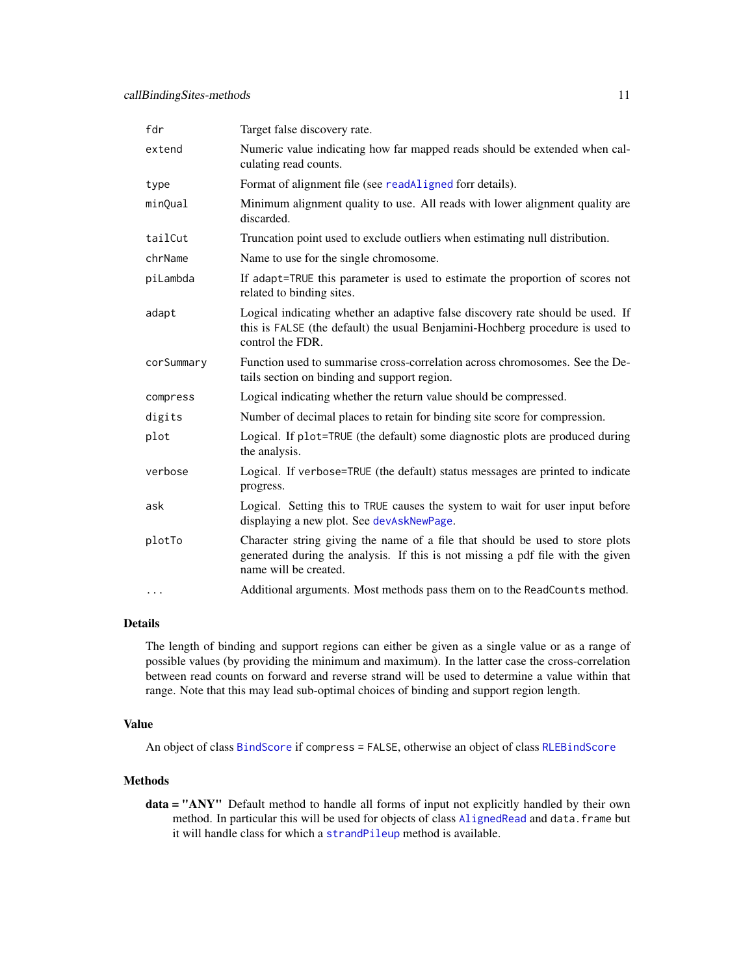<span id="page-10-0"></span>

| fdr        | Target false discovery rate.                                                                                                                                                              |
|------------|-------------------------------------------------------------------------------------------------------------------------------------------------------------------------------------------|
| extend     | Numeric value indicating how far mapped reads should be extended when cal-<br>culating read counts.                                                                                       |
| type       | Format of alignment file (see readAligned forr details).                                                                                                                                  |
| minQual    | Minimum alignment quality to use. All reads with lower alignment quality are<br>discarded.                                                                                                |
| tailCut    | Truncation point used to exclude outliers when estimating null distribution.                                                                                                              |
| chrName    | Name to use for the single chromosome.                                                                                                                                                    |
| piLambda   | If adapt=TRUE this parameter is used to estimate the proportion of scores not<br>related to binding sites.                                                                                |
| adapt      | Logical indicating whether an adaptive false discovery rate should be used. If<br>this is FALSE (the default) the usual Benjamini-Hochberg procedure is used to<br>control the FDR.       |
| corSummary | Function used to summarise cross-correlation across chromosomes. See the De-<br>tails section on binding and support region.                                                              |
| compress   | Logical indicating whether the return value should be compressed.                                                                                                                         |
| digits     | Number of decimal places to retain for binding site score for compression.                                                                                                                |
| plot       | Logical. If plot=TRUE (the default) some diagnostic plots are produced during<br>the analysis.                                                                                            |
| verbose    | Logical. If verbose=TRUE (the default) status messages are printed to indicate<br>progress.                                                                                               |
| ask        | Logical. Setting this to TRUE causes the system to wait for user input before<br>displaying a new plot. See devAskNewPage.                                                                |
| plotTo     | Character string giving the name of a file that should be used to store plots<br>generated during the analysis. If this is not missing a pdf file with the given<br>name will be created. |
| $\cdots$   | Additional arguments. Most methods pass them on to the ReadCounts method.                                                                                                                 |

# Details

The length of binding and support regions can either be given as a single value or as a range of possible values (by providing the minimum and maximum). In the latter case the cross-correlation between read counts on forward and reverse strand will be used to determine a value within that range. Note that this may lead sub-optimal choices of binding and support region length.

# Value

An object of class [BindScore](#page-5-1) if compress = FALSE, otherwise an object of class [RLEBindScore](#page-24-1)

# Methods

data = "ANY" Default method to handle all forms of input not explicitly handled by their own method. In particular this will be used for objects of class [AlignedRead](#page-0-0) and data. frame but it will handle class for which a [strandPileup](#page-29-1) method is available.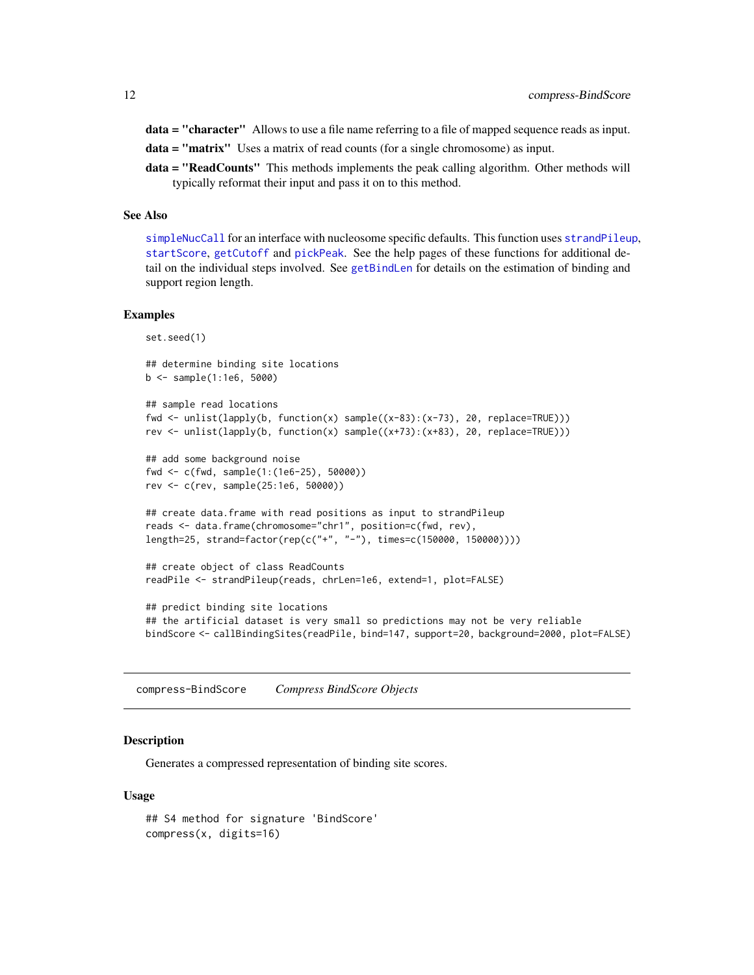<span id="page-11-0"></span>data = "character" Allows to use a file name referring to a file of mapped sequence reads as input.

data = "matrix" Uses a matrix of read counts (for a single chromosome) as input.

data = "ReadCounts" This methods implements the peak calling algorithm. Other methods will typically reformat their input and pass it on to this method.

# See Also

[simpleNucCall](#page-27-1) for an interface with nucleosome specific defaults. This function uses [strandPileup](#page-29-1), [startScore](#page-28-1), [getCutoff](#page-17-1) and [pickPeak](#page-18-1). See the help pages of these functions for additional detail on the individual steps involved. See [getBindLen](#page-16-1) for details on the estimation of binding and support region length.

#### Examples

set.seed(1)

```
## determine binding site locations
b <- sample(1:1e6, 5000)
```

```
## sample read locations
fwd <- unlist(lapply(b, function(x) sample((x-83):(x-73), 20, replace=TRUE)))
rev <- unlist(lapply(b, function(x) sample((x+73):(x+83), 20, replace=TRUE)))
```

```
## add some background noise
fwd <- c(fwd, sample(1:(1e6-25), 50000))
rev <- c(rev, sample(25:1e6, 50000))
```

```
## create data.frame with read positions as input to strandPileup
reads <- data.frame(chromosome="chr1", position=c(fwd, rev),
length=25, strand=factor(rep(c("+", "-"), times=c(150000, 150000))))
```

```
## create object of class ReadCounts
readPile <- strandPileup(reads, chrLen=1e6, extend=1, plot=FALSE)
```

```
## predict binding site locations
## the artificial dataset is very small so predictions may not be very reliable
bindScore <- callBindingSites(readPile, bind=147, support=20, background=2000, plot=FALSE)
```
<span id="page-11-1"></span>compress-BindScore *Compress BindScore Objects*

#### **Description**

Generates a compressed representation of binding site scores.

```
## S4 method for signature 'BindScore'
compress(x, digits=16)
```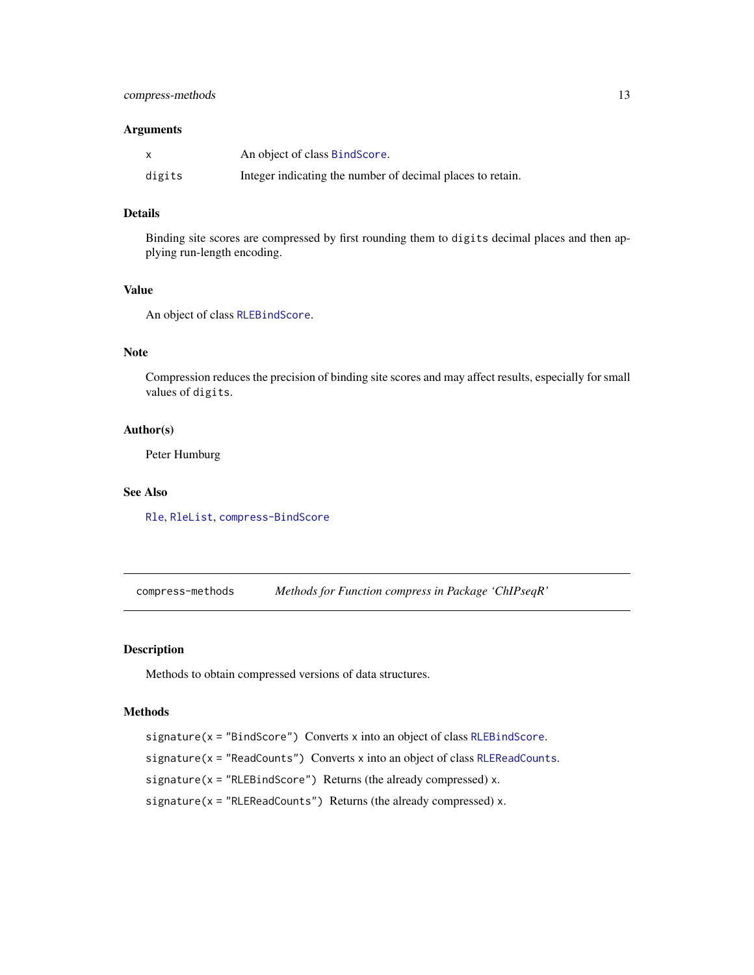#### <span id="page-12-0"></span>Arguments

|        | An object of class BindScore.                              |
|--------|------------------------------------------------------------|
| digits | Integer indicating the number of decimal places to retain. |

# Details

Binding site scores are compressed by first rounding them to digits decimal places and then applying run-length encoding.

# Value

An object of class [RLEBindScore](#page-24-1).

# Note

Compression reduces the precision of binding site scores and may affect results, especially for small values of digits.

# Author(s)

Peter Humburg

# See Also

[Rle](#page-0-0), [RleList](#page-0-0), [compress-BindScore](#page-11-1)

<span id="page-12-1"></span>compress-methods *Methods for Function compress in Package 'ChIPseqR'*

# <span id="page-12-2"></span>Description

Methods to obtain compressed versions of data structures.

#### Methods

signature(x = "BindScore") Converts x into an object of class [RLEBindScore](#page-24-1). signature(x = "ReadCounts") Converts x into an object of class [RLEReadCounts](#page-25-1). signature( $x = "RLEBindScore")$  Returns (the already compressed)  $x$ . signature( $x = "RLEReadCounts")$  Returns (the already compressed)  $x$ .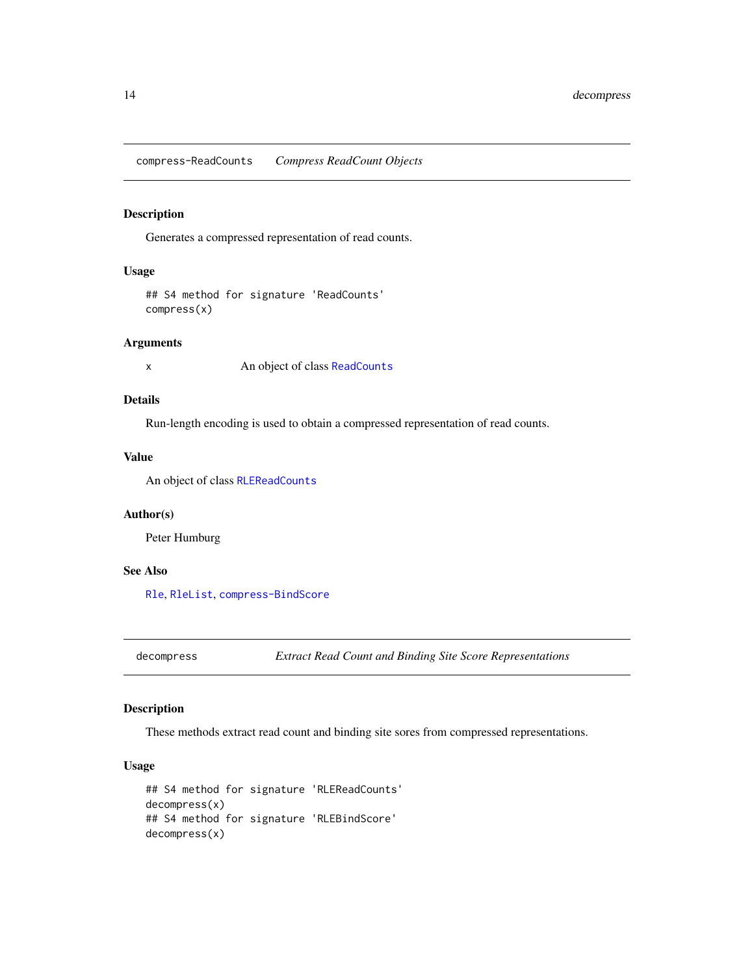<span id="page-13-0"></span>compress-ReadCounts *Compress ReadCount Objects*

#### Description

Generates a compressed representation of read counts.

# Usage

## S4 method for signature 'ReadCounts' compress(x)

#### Arguments

x An object of class [ReadCounts](#page-22-1)

# Details

Run-length encoding is used to obtain a compressed representation of read counts.

# Value

An object of class [RLEReadCounts](#page-25-1)

# Author(s)

Peter Humburg

# See Also

[Rle](#page-0-0), [RleList](#page-0-0), [compress-BindScore](#page-11-1)

<span id="page-13-1"></span>decompress *Extract Read Count and Binding Site Score Representations*

# Description

These methods extract read count and binding site sores from compressed representations.

```
## S4 method for signature 'RLEReadCounts'
decompress(x)
## S4 method for signature 'RLEBindScore'
decompress(x)
```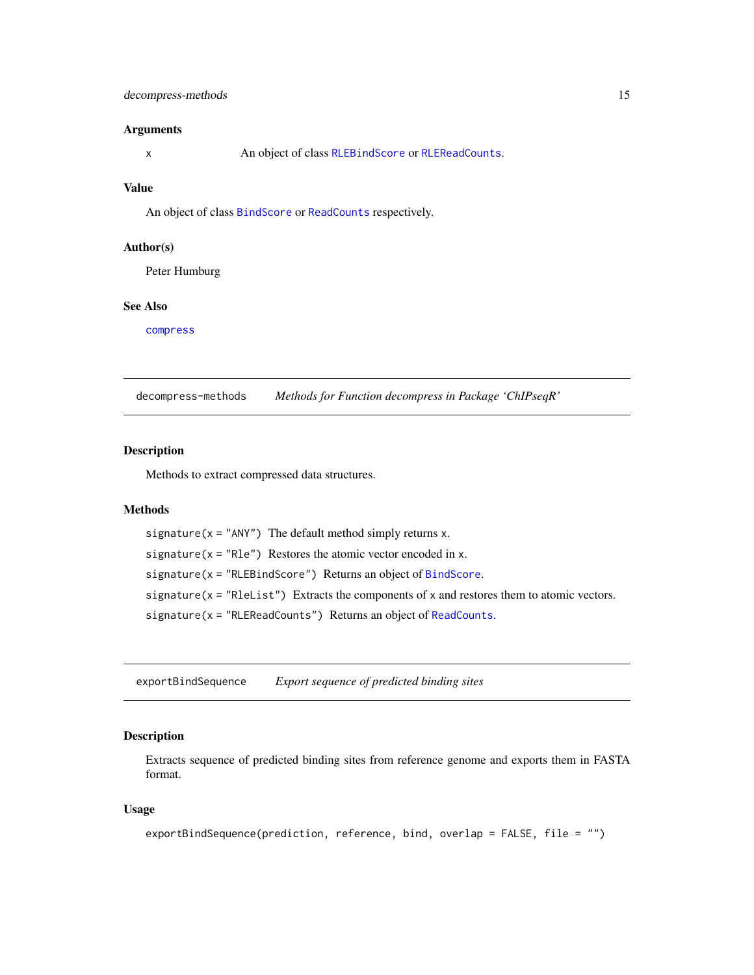# <span id="page-14-0"></span>decompress-methods 15

#### Arguments

x An object of class [RLEBindScore](#page-24-1) or [RLEReadCounts](#page-25-1).

# Value

An object of class [BindScore](#page-5-1) or [ReadCounts](#page-22-1) respectively.

#### Author(s)

Peter Humburg

#### See Also

[compress](#page-12-1)

decompress-methods *Methods for Function decompress in Package 'ChIPseqR'*

# Description

Methods to extract compressed data structures.

#### Methods

```
signature(x = "ANY") The default method simply returns x.
signature(x = "Rle") Restores the atomic vector encoded in x.
BindScore") Returns an object of BindScore.
signature(x = "RleList") Extracts the components of x and restores them to atomic vectors.
signature(x = "RLEReadCounts") Returns an object of ReadCounts.
```
exportBindSequence *Export sequence of predicted binding sites*

# Description

Extracts sequence of predicted binding sites from reference genome and exports them in FASTA format.

```
exportBindSequence(prediction, reference, bind, overlap = FALSE, file = "")
```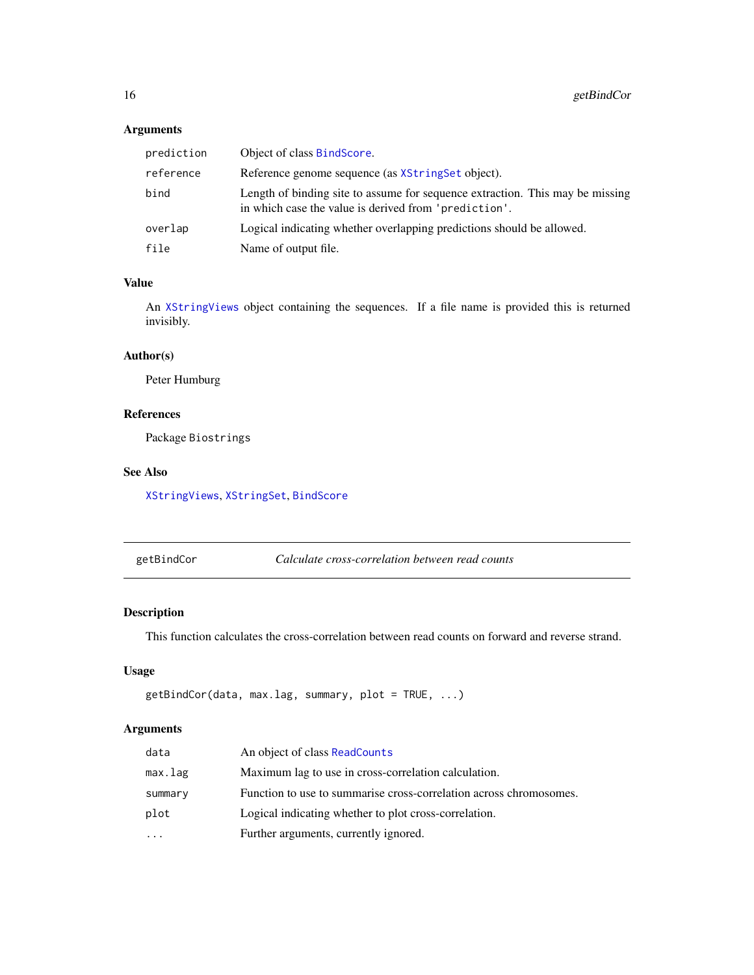# Arguments

| prediction | Object of class BindScore.                                                                                                             |
|------------|----------------------------------------------------------------------------------------------------------------------------------------|
| reference  | Reference genome sequence (as XString Set object).                                                                                     |
| bind       | Length of binding site to assume for sequence extraction. This may be missing<br>in which case the value is derived from 'prediction'. |
| overlap    | Logical indicating whether overlapping predictions should be allowed.                                                                  |
| file       | Name of output file.                                                                                                                   |

# Value

An [XStringViews](#page-0-0) object containing the sequences. If a file name is provided this is returned invisibly.

# Author(s)

Peter Humburg

# References

Package Biostrings

# See Also

[XStringViews](#page-0-0), [XStringSet](#page-0-0), [BindScore](#page-5-1)

<span id="page-15-1"></span>

Calculate cross-correlation between read counts

# Description

This function calculates the cross-correlation between read counts on forward and reverse strand.

# Usage

```
getBindCor(data, max.lag, summary, plot = TRUE, ...)
```

| data    | An object of class ReadCounts                                      |
|---------|--------------------------------------------------------------------|
| max.lag | Maximum lag to use in cross-correlation calculation.               |
| summary | Function to use to summarise cross-correlation across chromosomes. |
| plot    | Logical indicating whether to plot cross-correlation.              |
| .       | Further arguments, currently ignored.                              |
|         |                                                                    |

<span id="page-15-0"></span>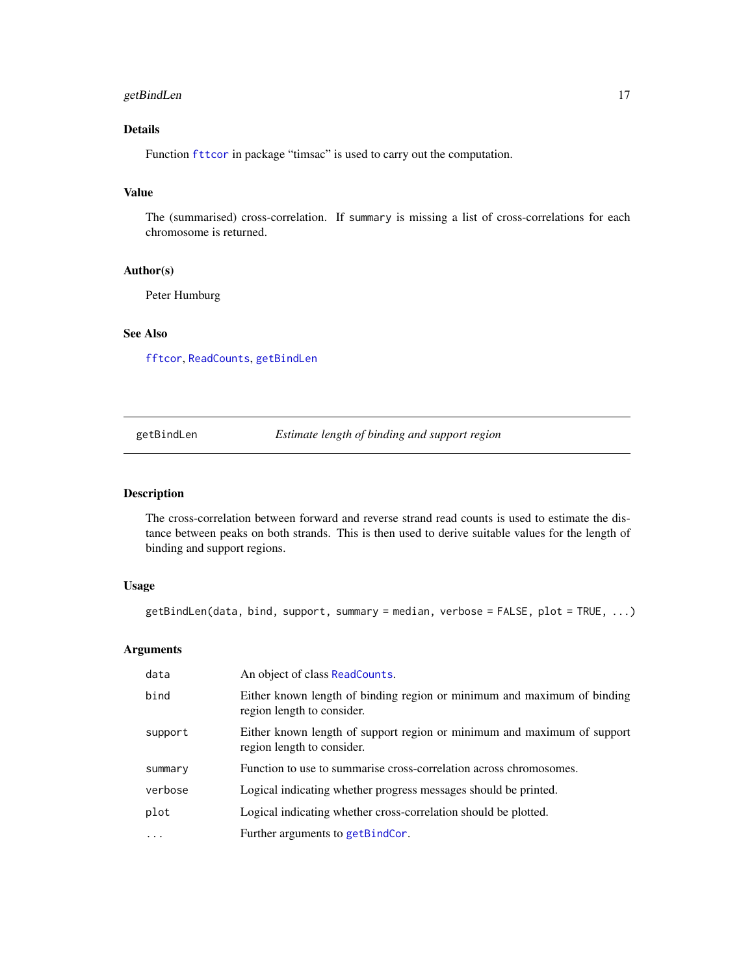# <span id="page-16-0"></span>getBindLen 17

# Details

Function [fttcor](#page-0-0) in package "timsac" is used to carry out the computation.

# Value

The (summarised) cross-correlation. If summary is missing a list of cross-correlations for each chromosome is returned.

# Author(s)

Peter Humburg

# See Also

[fftcor](#page-0-0), [ReadCounts](#page-22-1), [getBindLen](#page-16-1)

<span id="page-16-1"></span>getBindLen *Estimate length of binding and support region*

# Description

The cross-correlation between forward and reverse strand read counts is used to estimate the distance between peaks on both strands. This is then used to derive suitable values for the length of binding and support regions.

# Usage

 $getBindLen(data, bind, support, summary = median, verbose = FALSE, plot = TRUE, ...)$ 

| data                    | An object of class ReadCounts.                                                                        |
|-------------------------|-------------------------------------------------------------------------------------------------------|
| bind                    | Either known length of binding region or minimum and maximum of binding<br>region length to consider. |
| support                 | Either known length of support region or minimum and maximum of support<br>region length to consider. |
| summary                 | Function to use to summarise cross-correlation across chromosomes.                                    |
| verbose                 | Logical indicating whether progress messages should be printed.                                       |
| plot                    | Logical indicating whether cross-correlation should be plotted.                                       |
| $\cdot$ $\cdot$ $\cdot$ | Further arguments to getBindCor.                                                                      |
|                         |                                                                                                       |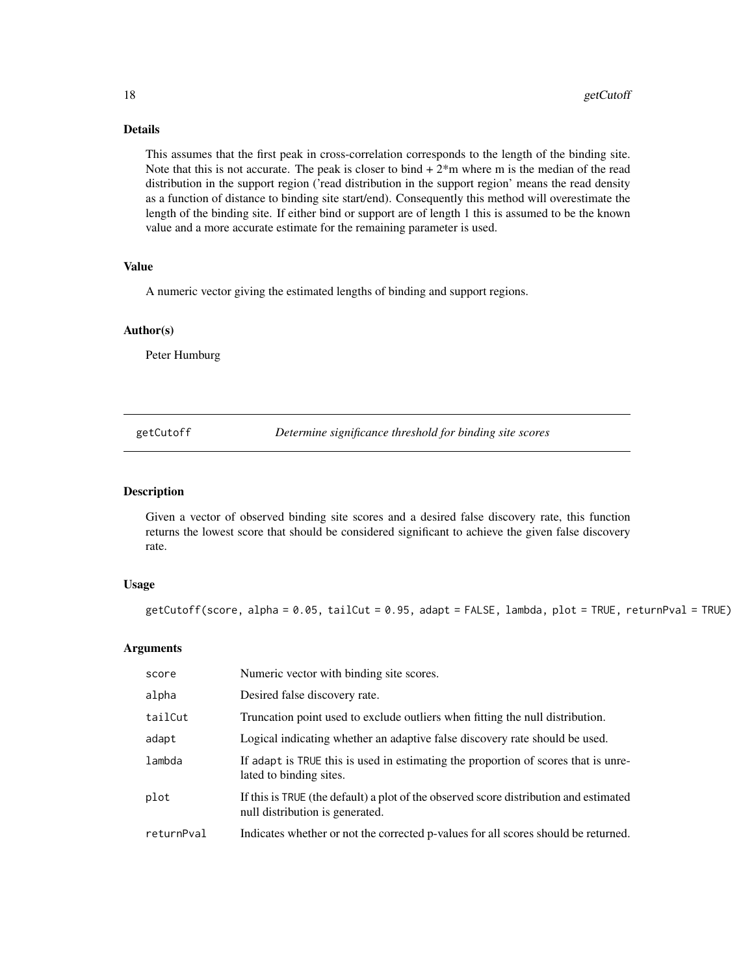# Details

This assumes that the first peak in cross-correlation corresponds to the length of the binding site. Note that this is not accurate. The peak is closer to bind  $+2<sup>*</sup>m$  where m is the median of the read distribution in the support region ('read distribution in the support region' means the read density as a function of distance to binding site start/end). Consequently this method will overestimate the length of the binding site. If either bind or support are of length 1 this is assumed to be the known value and a more accurate estimate for the remaining parameter is used.

#### Value

A numeric vector giving the estimated lengths of binding and support regions.

#### Author(s)

Peter Humburg

<span id="page-17-1"></span>getCutoff *Determine significance threshold for binding site scores*

#### Description

Given a vector of observed binding site scores and a desired false discovery rate, this function returns the lowest score that should be considered significant to achieve the given false discovery rate.

#### Usage

getCutoff(score, alpha = 0.05, tailCut = 0.95, adapt = FALSE, lambda, plot = TRUE, returnPval = TRUE)

| score      | Numeric vector with binding site scores.                                                                                 |
|------------|--------------------------------------------------------------------------------------------------------------------------|
| alpha      | Desired false discovery rate.                                                                                            |
| tailCut    | Truncation point used to exclude outliers when fitting the null distribution.                                            |
| adapt      | Logical indicating whether an adaptive false discovery rate should be used.                                              |
| lambda     | If adapt is TRUE this is used in estimating the proportion of scores that is unre-<br>lated to binding sites.            |
| plot       | If this is TRUE (the default) a plot of the observed score distribution and estimated<br>null distribution is generated. |
| returnPval | Indicates whether or not the corrected p-values for all scores should be returned.                                       |

<span id="page-17-0"></span>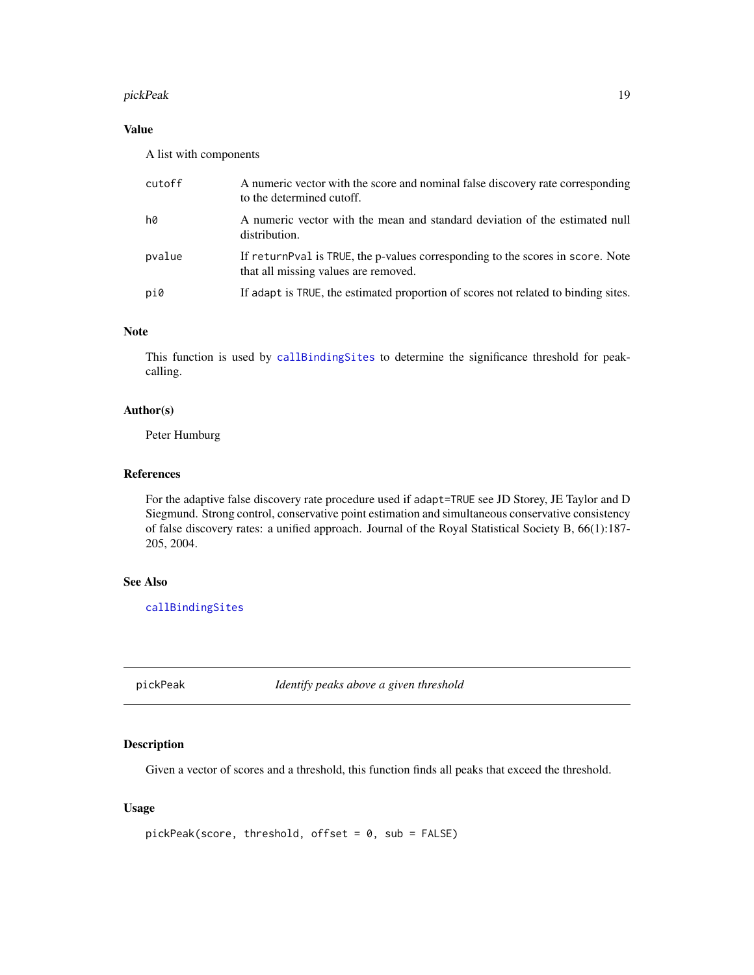#### <span id="page-18-0"></span>pickPeak 19

# Value

A list with components

| cutoff | A numeric vector with the score and nominal false discovery rate corresponding<br>to the determined cutoff.             |
|--------|-------------------------------------------------------------------------------------------------------------------------|
| h0     | A numeric vector with the mean and standard deviation of the estimated null<br>distribution.                            |
| pvalue | If return Pval is TRUE, the p-values corresponding to the scores in score. Note<br>that all missing values are removed. |
| pi0    | If adapt is TRUE, the estimated proportion of scores not related to binding sites.                                      |

# Note

This function is used by [callBindingSites](#page-9-1) to determine the significance threshold for peakcalling.

# Author(s)

Peter Humburg

# References

For the adaptive false discovery rate procedure used if adapt=TRUE see JD Storey, JE Taylor and D Siegmund. Strong control, conservative point estimation and simultaneous conservative consistency of false discovery rates: a unified approach. Journal of the Royal Statistical Society B, 66(1):187- 205, 2004.

# See Also

[callBindingSites](#page-9-1)

<span id="page-18-1"></span>pickPeak *Identify peaks above a given threshold*

# Description

Given a vector of scores and a threshold, this function finds all peaks that exceed the threshold.

```
pickPeak(score, threshold, offset = 0, sub = FALSE)
```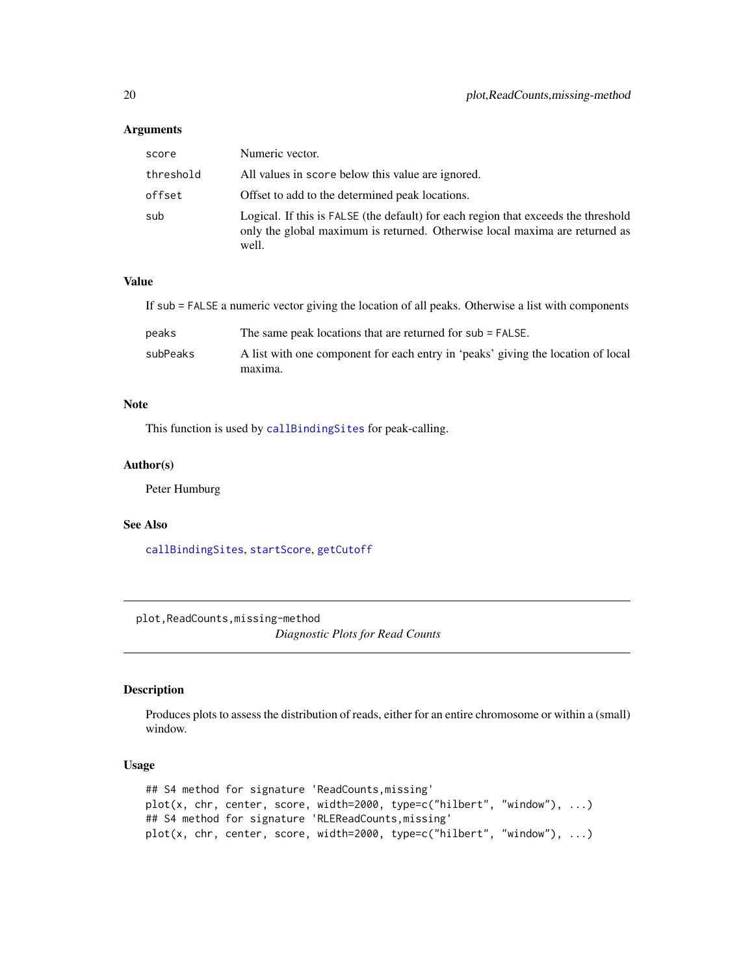#### <span id="page-19-0"></span>Arguments

| score     | Numeric vector.                                                                                                                                                            |
|-----------|----------------------------------------------------------------------------------------------------------------------------------------------------------------------------|
| threshold | All values in score below this value are ignored.                                                                                                                          |
| offset    | Offset to add to the determined peak locations.                                                                                                                            |
| sub       | Logical. If this is FALSE (the default) for each region that exceeds the threshold<br>only the global maximum is returned. Otherwise local maxima are returned as<br>well. |

# Value

If sub = FALSE a numeric vector giving the location of all peaks. Otherwise a list with components peaks The same peak locations that are returned for sub = FALSE.

| subPeaks | A list with one component for each entry in 'peaks' giving the location of local |
|----------|----------------------------------------------------------------------------------|
|          | maxima.                                                                          |

#### Note

This function is used by [callBindingSites](#page-9-1) for peak-calling.

#### Author(s)

Peter Humburg

# See Also

[callBindingSites](#page-9-1), [startScore](#page-28-1), [getCutoff](#page-17-1)

plot,ReadCounts,missing-method

*Diagnostic Plots for Read Counts*

# Description

Produces plots to assess the distribution of reads, either for an entire chromosome or within a (small) window.

```
## S4 method for signature 'ReadCounts,missing'
plot(x, chr, center, score, width=2000, type=c("hilbert", "window"), ...)
## S4 method for signature 'RLEReadCounts,missing'
plot(x, chr, center, score, width=2000, type=c("hilbert", "window"), ...)
```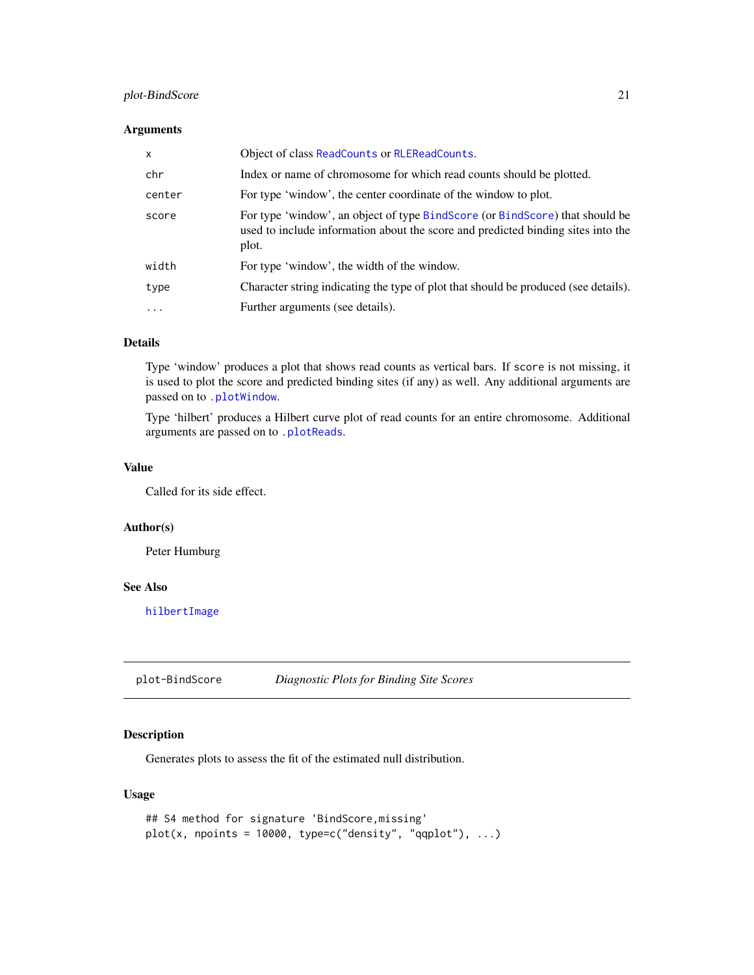# <span id="page-20-0"></span>plot-BindScore 21

#### Arguments

| $\mathsf{x}$ | Object of class ReadCounts or RLEReadCounts.                                                                                                                              |
|--------------|---------------------------------------------------------------------------------------------------------------------------------------------------------------------------|
| chr          | Index or name of chromosome for which read counts should be plotted.                                                                                                      |
| center       | For type 'window', the center coordinate of the window to plot.                                                                                                           |
| score        | For type 'window', an object of type BindScore (or BindScore) that should be<br>used to include information about the score and predicted binding sites into the<br>plot. |
| width        | For type 'window', the width of the window.                                                                                                                               |
| type         | Character string indicating the type of plot that should be produced (see details).                                                                                       |
| $\cdots$     | Further arguments (see details).                                                                                                                                          |

# Details

Type 'window' produces a plot that shows read counts as vertical bars. If score is not missing, it is used to plot the score and predicted binding sites (if any) as well. Any additional arguments are passed on to [.plotWindow](#page-0-0).

Type 'hilbert' produces a Hilbert curve plot of read counts for an entire chromosome. Additional arguments are passed on to [.plotReads](#page-0-0).

# Value

Called for its side effect.

#### Author(s)

Peter Humburg

#### See Also

[hilbertImage](#page-0-0)

plot-BindScore *Diagnostic Plots for Binding Site Scores*

# Description

Generates plots to assess the fit of the estimated null distribution.

```
## S4 method for signature 'BindScore,missing'
plot(x, npoints = 10000, type=c("density", "qqplot"), ...)
```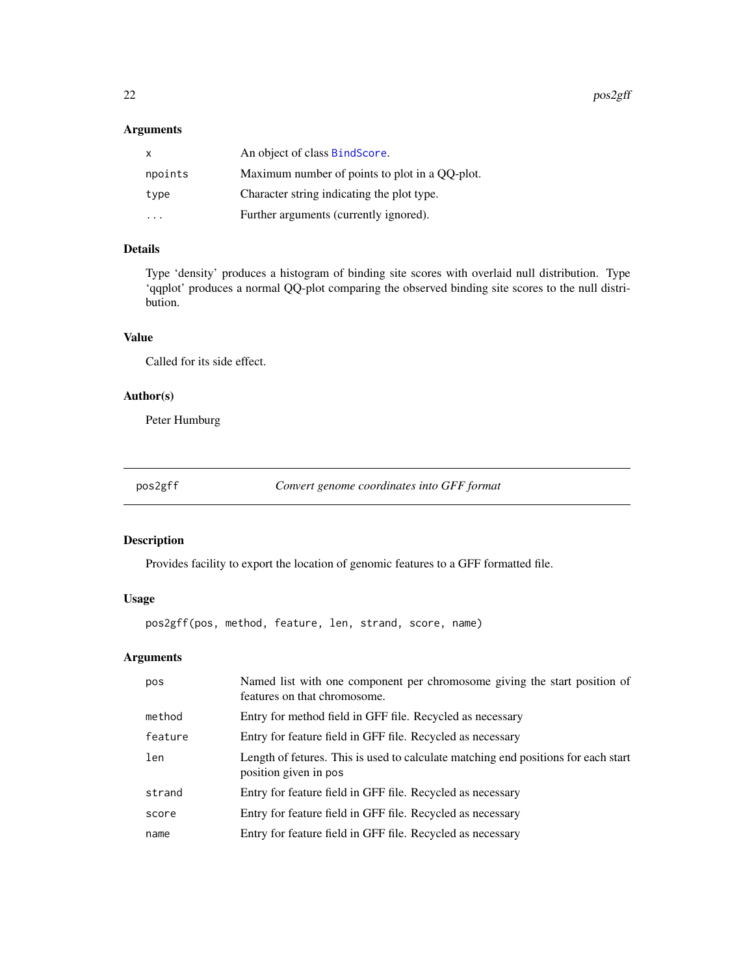# <span id="page-21-0"></span>Arguments

| X         | An object of class BindScore.                  |
|-----------|------------------------------------------------|
| npoints   | Maximum number of points to plot in a QQ-plot. |
| type      | Character string indicating the plot type.     |
| $\ddotsc$ | Further arguments (currently ignored).         |

# Details

Type 'density' produces a histogram of binding site scores with overlaid null distribution. Type 'qqplot' produces a normal QQ-plot comparing the observed binding site scores to the null distribution.

#### Value

Called for its side effect.

# Author(s)

Peter Humburg

pos2gff *Convert genome coordinates into GFF format*

# Description

Provides facility to export the location of genomic features to a GFF formatted file.

# Usage

pos2gff(pos, method, feature, len, strand, score, name)

| pos     | Named list with one component per chromosome giving the start position of<br>features on that chromosome.   |
|---------|-------------------------------------------------------------------------------------------------------------|
| method  | Entry for method field in GFF file. Recycled as necessary                                                   |
| feature | Entry for feature field in GFF file. Recycled as necessary                                                  |
| len     | Length of fetures. This is used to calculate matching end positions for each start<br>position given in pos |
| strand  | Entry for feature field in GFF file. Recycled as necessary                                                  |
| score   | Entry for feature field in GFF file. Recycled as necessary                                                  |
| name    | Entry for feature field in GFF file. Recycled as necessary                                                  |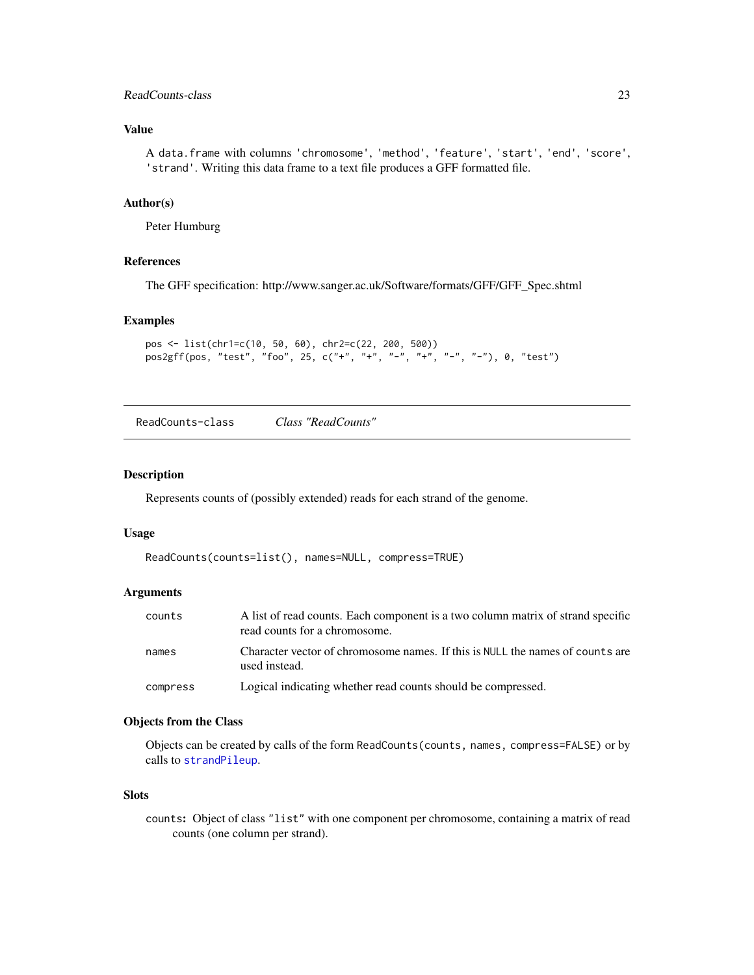# <span id="page-22-0"></span>ReadCounts-class 23

# Value

A data.frame with columns 'chromosome', 'method', 'feature', 'start', 'end', 'score', 'strand'. Writing this data frame to a text file produces a GFF formatted file.

# Author(s)

Peter Humburg

#### References

The GFF specification: http://www.sanger.ac.uk/Software/formats/GFF/GFF\_Spec.shtml

#### Examples

```
pos <- list(chr1=c(10, 50, 60), chr2=c(22, 200, 500))
pos2gff(pos, "test", "foo", 25, c("+", "+", "-", "+", "-", "-"), 0, "test")
```
<span id="page-22-1"></span>ReadCounts-class *Class "ReadCounts"*

# Description

Represents counts of (possibly extended) reads for each strand of the genome.

#### Usage

```
ReadCounts(counts=list(), names=NULL, compress=TRUE)
```
#### Arguments

| counts   | A list of read counts. Each component is a two column matrix of strand specific<br>read counts for a chromosome. |
|----------|------------------------------------------------------------------------------------------------------------------|
| names    | Character vector of chromosome names. If this is NULL the names of counts are<br>used instead.                   |
| compress | Logical indicating whether read counts should be compressed.                                                     |

# Objects from the Class

Objects can be created by calls of the form ReadCounts(counts, names, compress=FALSE) or by calls to [strandPileup](#page-29-1).

# Slots

counts: Object of class "list" with one component per chromosome, containing a matrix of read counts (one column per strand).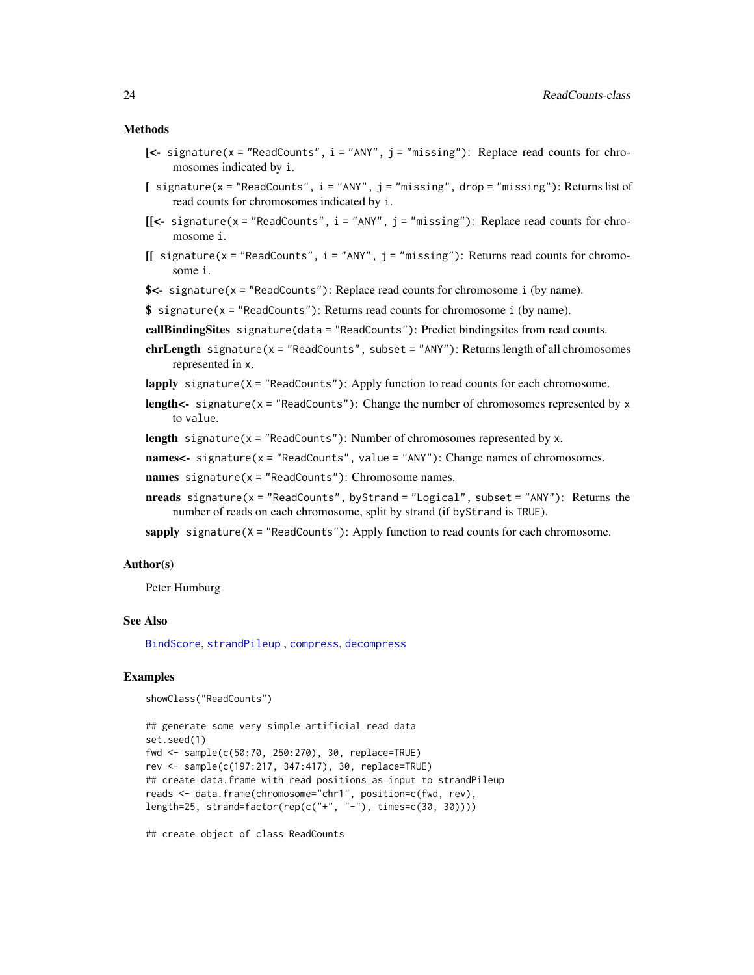#### <span id="page-23-0"></span>Methods

- $[\leq -$  signature(x = "ReadCounts", i = "ANY", j = "missing"): Replace read counts for chromosomes indicated by i.
- [ signature(x = "ReadCounts", i = "ANY", j = "missing", drop = "missing"): Returns list of read counts for chromosomes indicated by i.
- $[$ [<- signature(x = "ReadCounts", i = "ANY", j = "missing"): Replace read counts for chromosome i.
- $[$ [ signature(x = "ReadCounts", i = "ANY", j = "missing"): Returns read counts for chromosome i.
- \$<- signature(x = "ReadCounts"): Replace read counts for chromosome i (by name).
- \$ signature(x = "ReadCounts"): Returns read counts for chromosome i (by name).
- callBindingSites signature(data = "ReadCounts"): Predict bindingsites from read counts.
- chrLength signature( $x =$  "ReadCounts", subset = "ANY"): Returns length of all chromosomes represented in x.
- lapply signature(X = "ReadCounts"): Apply function to read counts for each chromosome.
- **length<-** signature( $x =$  "ReadCounts"): Change the number of chromosomes represented by  $x$ to value.
- **length** signature( $x =$  "ReadCounts"): Number of chromosomes represented by  $x$ .

names  $\le$  signature(x = "ReadCounts", value = "ANY"): Change names of chromosomes.

names signature( $x =$  "ReadCounts"): Chromosome names.

- **nreads** signature( $x =$  "ReadCounts", byStrand = "Logical", subset = "ANY"): Returns the number of reads on each chromosome, split by strand (if byStrand is TRUE).
- sapply signature( $X = "ReadCounts")$ : Apply function to read counts for each chromosome.

#### Author(s)

Peter Humburg

#### See Also

[BindScore](#page-5-1), [strandPileup](#page-29-1) , [compress](#page-12-2), [decompress](#page-13-1)

# Examples

```
showClass("ReadCounts")
```

```
## generate some very simple artificial read data
set.seed(1)
fwd <- sample(c(50:70, 250:270), 30, replace=TRUE)
rev <- sample(c(197:217, 347:417), 30, replace=TRUE)
## create data.frame with read positions as input to strandPileup
reads <- data.frame(chromosome="chr1", position=c(fwd, rev),
length=25, strand=factor(rep(c("+", "-"), times=c(30, 30))))
```
## create object of class ReadCounts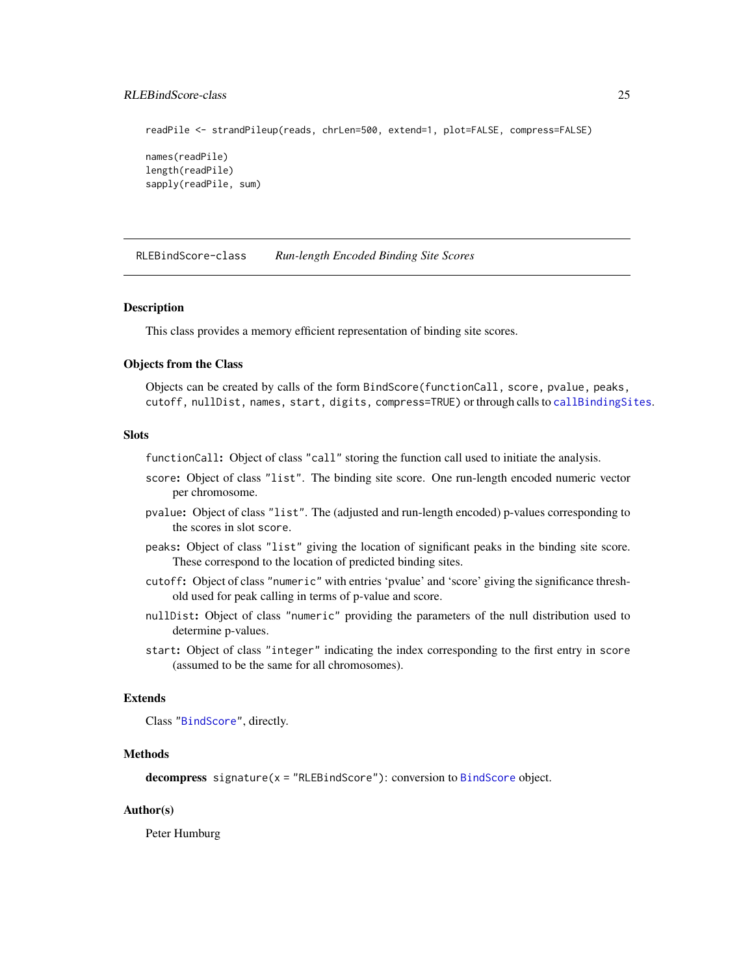# <span id="page-24-0"></span>RLEBindScore-class 25

readPile <- strandPileup(reads, chrLen=500, extend=1, plot=FALSE, compress=FALSE) names(readPile) length(readPile) sapply(readPile, sum)

<span id="page-24-1"></span>RLEBindScore-class *Run-length Encoded Binding Site Scores*

#### **Description**

This class provides a memory efficient representation of binding site scores.

## Objects from the Class

Objects can be created by calls of the form BindScore(functionCall, score, pvalue, peaks, cutoff, nullDist, names, start, digits, compress=TRUE) or through calls to [callBindingSites](#page-9-1).

#### **Slots**

functionCall: Object of class "call" storing the function call used to initiate the analysis.

- score: Object of class "list". The binding site score. One run-length encoded numeric vector per chromosome.
- pvalue: Object of class "list". The (adjusted and run-length encoded) p-values corresponding to the scores in slot score.
- peaks: Object of class "list" giving the location of significant peaks in the binding site score. These correspond to the location of predicted binding sites.
- cutoff: Object of class "numeric" with entries 'pvalue' and 'score' giving the significance threshold used for peak calling in terms of p-value and score.
- nullDist: Object of class "numeric" providing the parameters of the null distribution used to determine p-values.
- start: Object of class "integer" indicating the index corresponding to the first entry in score (assumed to be the same for all chromosomes).

#### Extends

Class ["BindScore"](#page-5-1), directly.

#### Methods

decompress signature(x = "RLE[BindScore](#page-5-1)"): conversion to BindScore object.

# Author(s)

Peter Humburg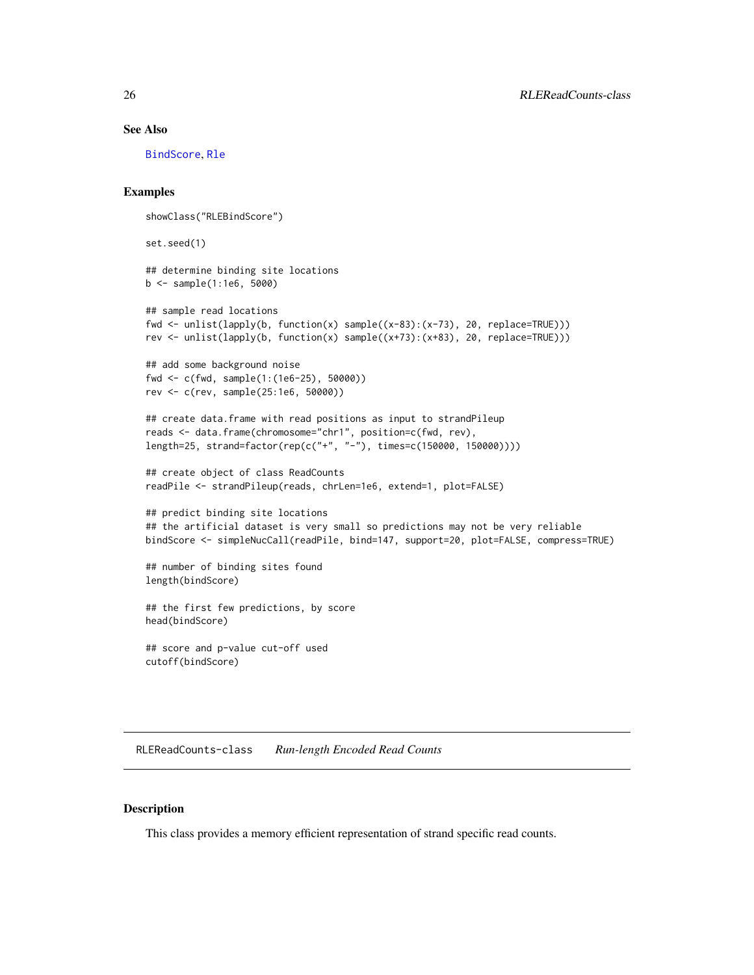# See Also

[BindScore](#page-5-1), [Rle](#page-0-0)

## Examples

```
showClass("RLEBindScore")
```
set.seed(1)

```
## determine binding site locations
b <- sample(1:1e6, 5000)
```

```
## sample read locations
fwd <- unlist(lapply(b, function(x) sample((x-83):(x-73), 20, replace=TRUE)))
rev <- unlist(lapply(b, function(x) sample((x+73):(x+83), 20, replace=TRUE)))
```

```
## add some background noise
fwd <- c(fwd, sample(1:(1e6-25), 50000))
rev <- c(rev, sample(25:1e6, 50000))
```

```
## create data.frame with read positions as input to strandPileup
reads <- data.frame(chromosome="chr1", position=c(fwd, rev),
length=25, strand=factor(rep(c("+", "-"), times=c(150000, 150000))))
```

```
## create object of class ReadCounts
readPile <- strandPileup(reads, chrLen=1e6, extend=1, plot=FALSE)
```

```
## predict binding site locations
## the artificial dataset is very small so predictions may not be very reliable
bindScore <- simpleNucCall(readPile, bind=147, support=20, plot=FALSE, compress=TRUE)
```

```
## number of binding sites found
length(bindScore)
```
## the first few predictions, by score head(bindScore)

```
## score and p-value cut-off used
cutoff(bindScore)
```
<span id="page-25-1"></span>RLEReadCounts-class *Run-length Encoded Read Counts*

# **Description**

This class provides a memory efficient representation of strand specific read counts.

<span id="page-25-0"></span>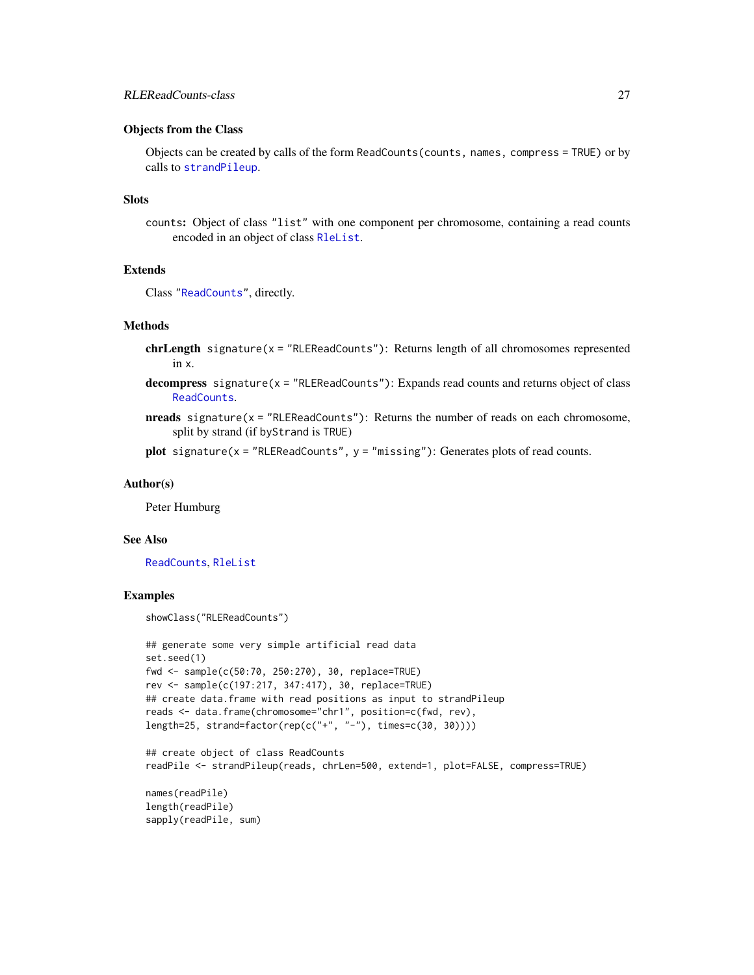#### <span id="page-26-0"></span>Objects from the Class

Objects can be created by calls of the form ReadCounts(counts, names, compress = TRUE) or by calls to [strandPileup](#page-29-1).

#### Slots

counts: Object of class "list" with one component per chromosome, containing a read counts encoded in an object of class [RleList](#page-0-0).

# Extends

Class ["ReadCounts"](#page-22-1), directly.

# **Methods**

- chrLength signature(x = "RLEReadCounts"): Returns length of all chromosomes represented in x.
- decompress signature( $x =$  "RLEReadCounts"): Expands read counts and returns object of class [ReadCounts](#page-22-1).
- $n_{\text{reads}}$  signature( $x = "RLEReadCounts")$ : Returns the number of reads on each chromosome, split by strand (if byStrand is TRUE)

plot signature( $x = "RLEReadCounts", y = "missing");$  Generates plots of read counts.

#### Author(s)

Peter Humburg

#### See Also

[ReadCounts](#page-22-1), [RleList](#page-0-0)

# Examples

```
showClass("RLEReadCounts")
```

```
## generate some very simple artificial read data
set.seed(1)
fwd <- sample(c(50:70, 250:270), 30, replace=TRUE)
rev <- sample(c(197:217, 347:417), 30, replace=TRUE)
## create data.frame with read positions as input to strandPileup
reads <- data.frame(chromosome="chr1", position=c(fwd, rev),
length=25, strand=factor(rep(c("+", "-"), times=c(30, 30))))
## create object of class ReadCounts
readPile <- strandPileup(reads, chrLen=500, extend=1, plot=FALSE, compress=TRUE)
names(readPile)
```

```
length(readPile)
sapply(readPile, sum)
```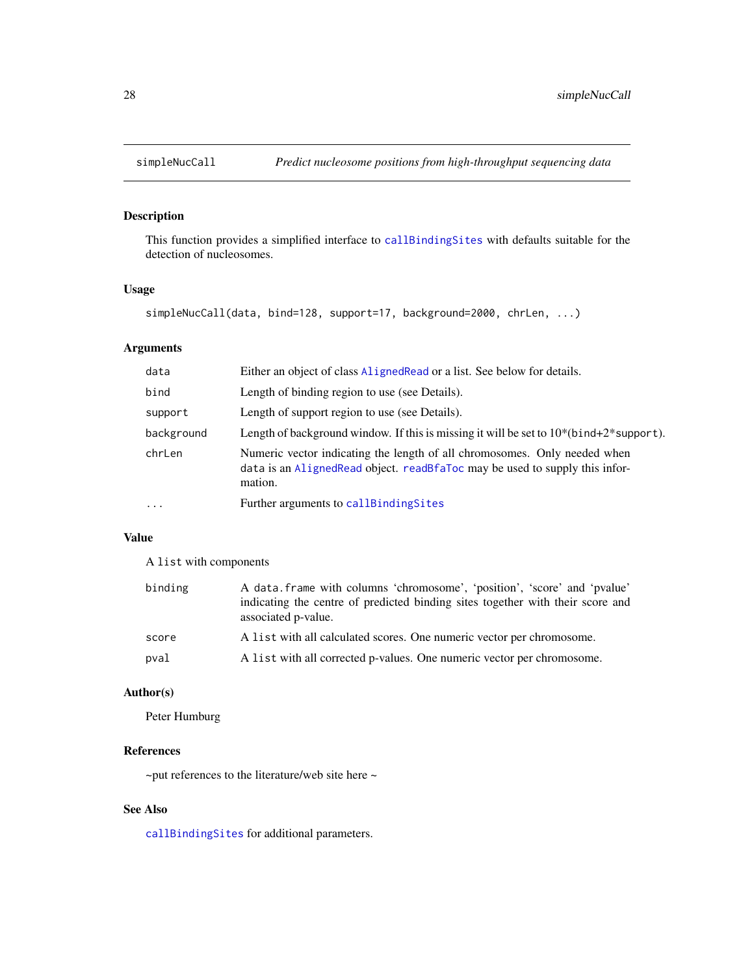<span id="page-27-1"></span><span id="page-27-0"></span>

# Description

This function provides a simplified interface to [callBindingSites](#page-9-1) with defaults suitable for the detection of nucleosomes.

#### Usage

```
simpleNucCall(data, bind=128, support=17, background=2000, chrLen, ...)
```
# Arguments

| data       | Either an object of class Aligned Read or a list. See below for details.                                                                                               |
|------------|------------------------------------------------------------------------------------------------------------------------------------------------------------------------|
| bind       | Length of binding region to use (see Details).                                                                                                                         |
| support    | Length of support region to use (see Details).                                                                                                                         |
| background | Length of background window. If this is missing it will be set to $10^*(bind+2^*support)$ .                                                                            |
| chrLen     | Numeric vector indicating the length of all chromosomes. Only needed when<br>data is an Aligned Read object. read B fallo carrier and to supply this infor-<br>mation. |
| $\ddotsc$  | Further arguments to callBindingSites                                                                                                                                  |

# Value

A list with components

| binding | A data frame with columns 'chromosome', 'position', 'score' and 'pvalue'<br>indicating the centre of predicted binding sites together with their score and<br>associated p-value. |
|---------|-----------------------------------------------------------------------------------------------------------------------------------------------------------------------------------|
| score   | A list with all calculated scores. One numeric vector per chromosome.                                                                                                             |
| pval    | A list with all corrected p-values. One numeric vector per chromosome.                                                                                                            |

# Author(s)

Peter Humburg

# References

~put references to the literature/web site here ~

# See Also

[callBindingSites](#page-9-1) for additional parameters.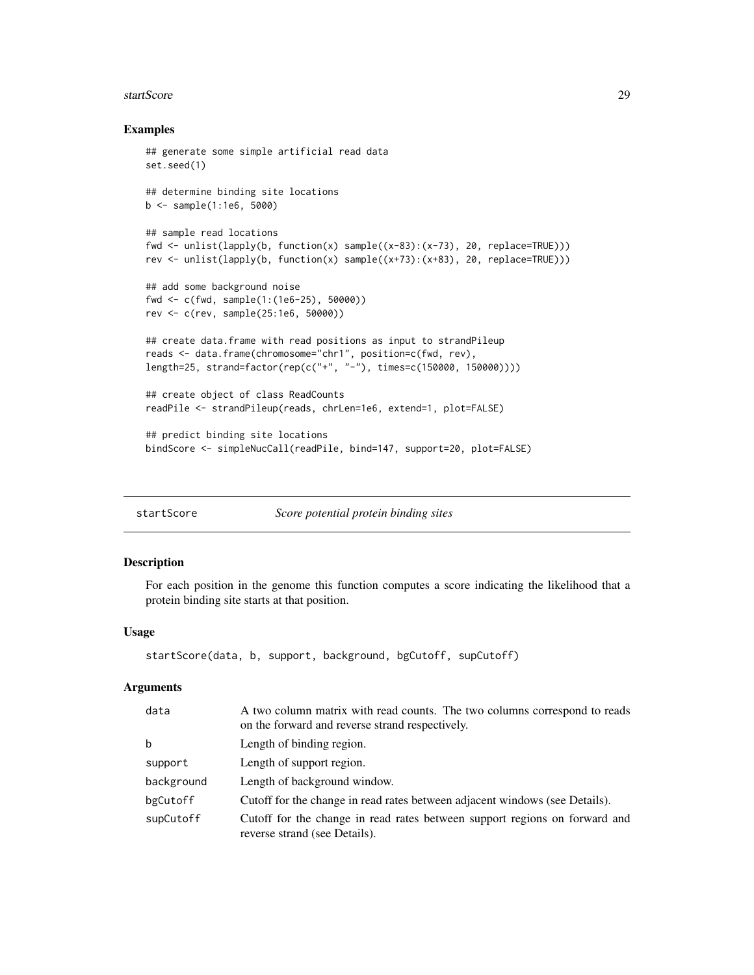#### <span id="page-28-0"></span>startScore 29

#### Examples

```
## generate some simple artificial read data
set.seed(1)
## determine binding site locations
b <- sample(1:1e6, 5000)
## sample read locations
fwd <- unlist(lapply(b, function(x) sample((x-83):(x-73), 20, replace=TRUE)))
rev <- unlist(lapply(b, function(x) sample((x+73):(x+83), 20, replace=TRUE)))
## add some background noise
fwd <- c(fwd, sample(1:(1e6-25), 50000))
rev <- c(rev, sample(25:1e6, 50000))
## create data.frame with read positions as input to strandPileup
reads <- data.frame(chromosome="chr1", position=c(fwd, rev),
length=25, strand=factor(rep(c("+", "-"), times=c(150000, 150000))))
## create object of class ReadCounts
readPile <- strandPileup(reads, chrLen=1e6, extend=1, plot=FALSE)
## predict binding site locations
bindScore <- simpleNucCall(readPile, bind=147, support=20, plot=FALSE)
```
<span id="page-28-1"></span>startScore *Score potential protein binding sites*

# **Description**

For each position in the genome this function computes a score indicating the likelihood that a protein binding site starts at that position.

# Usage

```
startScore(data, b, support, background, bgCutoff, supCutoff)
```

| data       | A two column matrix with read counts. The two columns correspond to reads<br>on the forward and reverse strand respectively. |
|------------|------------------------------------------------------------------------------------------------------------------------------|
| b          | Length of binding region.                                                                                                    |
| support    | Length of support region.                                                                                                    |
| background | Length of background window.                                                                                                 |
| bgCutoff   | Cutoff for the change in read rates between adjacent windows (see Details).                                                  |
| supCutoff  | Cutoff for the change in read rates between support regions on forward and<br>reverse strand (see Details).                  |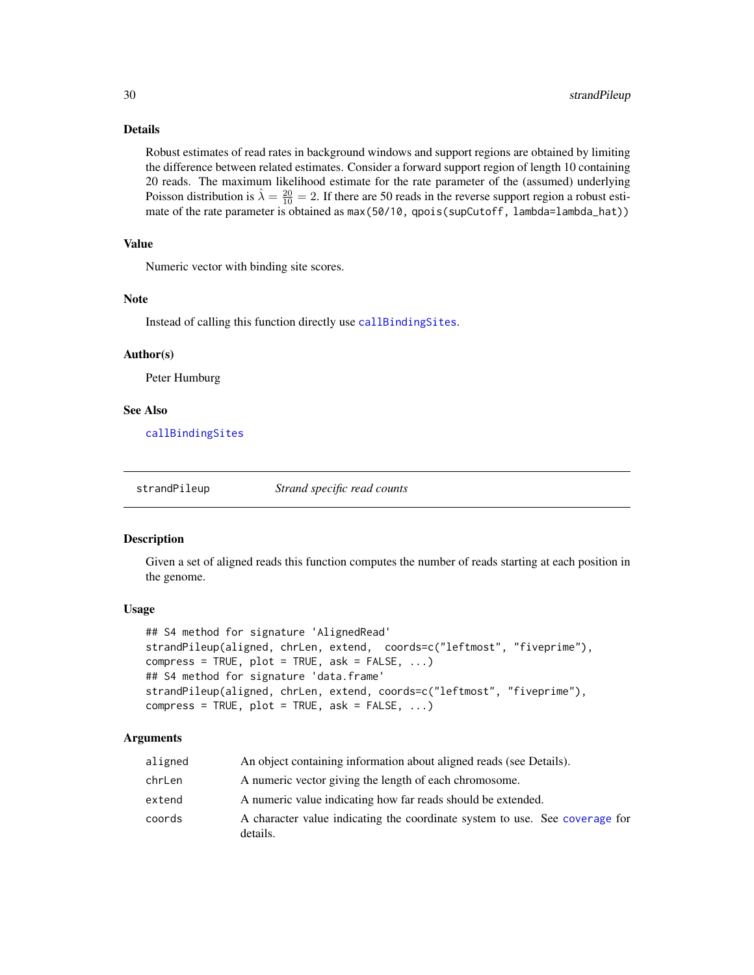#### <span id="page-29-0"></span>Details

Robust estimates of read rates in background windows and support regions are obtained by limiting the difference between related estimates. Consider a forward support region of length 10 containing 20 reads. The maximum likelihood estimate for the rate parameter of the (assumed) underlying Poisson distribution is  $\hat{\lambda} = \frac{20}{10} = 2$ . If there are 50 reads in the reverse support region a robust estimate of the rate parameter is obtained as max(50/10, qpois(supCutoff, lambda=lambda\_hat))

# Value

Numeric vector with binding site scores.

#### Note

Instead of calling this function directly use [callBindingSites](#page-9-1).

#### Author(s)

Peter Humburg

#### See Also

[callBindingSites](#page-9-1)

<span id="page-29-1"></span>

strandPileup *Strand specific read counts*

#### **Description**

Given a set of aligned reads this function computes the number of reads starting at each position in the genome.

# Usage

```
## S4 method for signature 'AlignedRead'
strandPileup(aligned, chrLen, extend, coords=c("leftmost", "fiveprime"),
compress = TRUE, plot = TRUE, ask = FALSE, ...)## S4 method for signature 'data.frame'
strandPileup(aligned, chrLen, extend, coords=c("leftmost", "fiveprime"),
compress = TRUE, plot = TRUE, ask = FALSE, ...)
```

| aligned | An object containing information about aligned reads (see Details).                     |
|---------|-----------------------------------------------------------------------------------------|
| chrLen  | A numeric vector giving the length of each chromosome.                                  |
| extend  | A numeric value indicating how far reads should be extended.                            |
| coords  | A character value indicating the coordinate system to use. See coverage for<br>details. |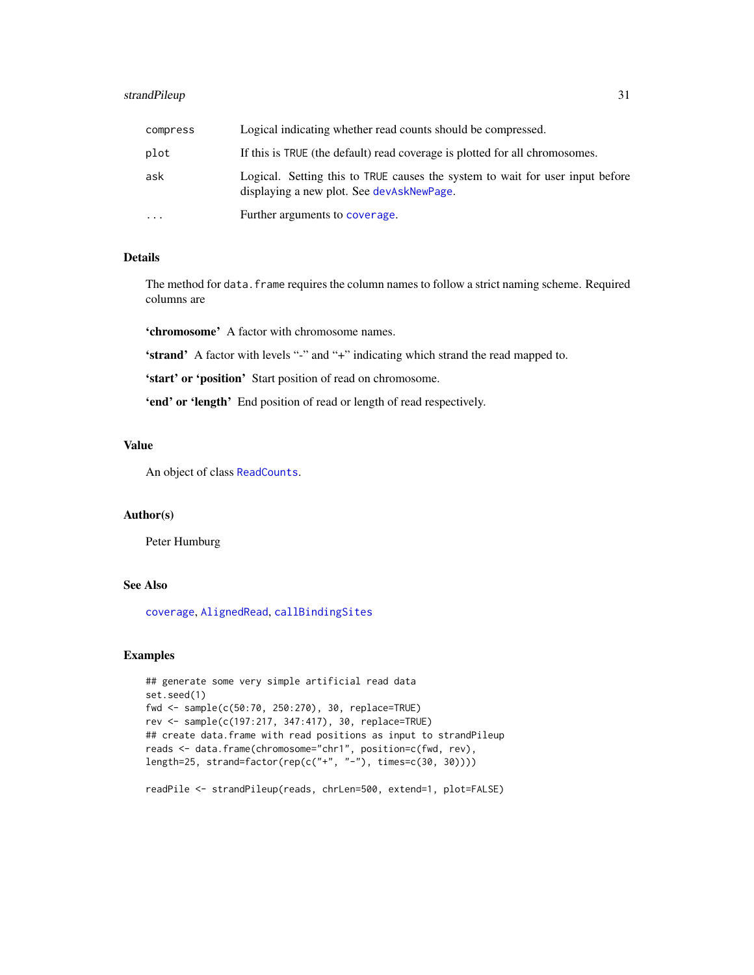# <span id="page-30-0"></span>strandPileup 31

| compress  | Logical indicating whether read counts should be compressed.                                                               |
|-----------|----------------------------------------------------------------------------------------------------------------------------|
| plot      | If this is TRUE (the default) read coverage is plotted for all chromosomes.                                                |
| ask       | Logical. Setting this to TRUE causes the system to wait for user input before<br>displaying a new plot. See devAskNewPage. |
| $\ddotsc$ | Further arguments to coverage.                                                                                             |

# Details

The method for data. frame requires the column names to follow a strict naming scheme. Required columns are

'chromosome' A factor with chromosome names.

'strand' A factor with levels "-" and "+" indicating which strand the read mapped to.

'start' or 'position' Start position of read on chromosome.

'end' or 'length' End position of read or length of read respectively.

# Value

An object of class [ReadCounts](#page-22-1).

### Author(s)

Peter Humburg

#### See Also

[coverage](#page-0-0), [AlignedRead](#page-0-0), [callBindingSites](#page-9-1)

# Examples

```
## generate some very simple artificial read data
set.seed(1)
fwd <- sample(c(50:70, 250:270), 30, replace=TRUE)
rev <- sample(c(197:217, 347:417), 30, replace=TRUE)
## create data.frame with read positions as input to strandPileup
reads <- data.frame(chromosome="chr1", position=c(fwd, rev),
length=25, strand=factor(rep(c("+", "-"), times=c(30, 30))))
```
readPile <- strandPileup(reads, chrLen=500, extend=1, plot=FALSE)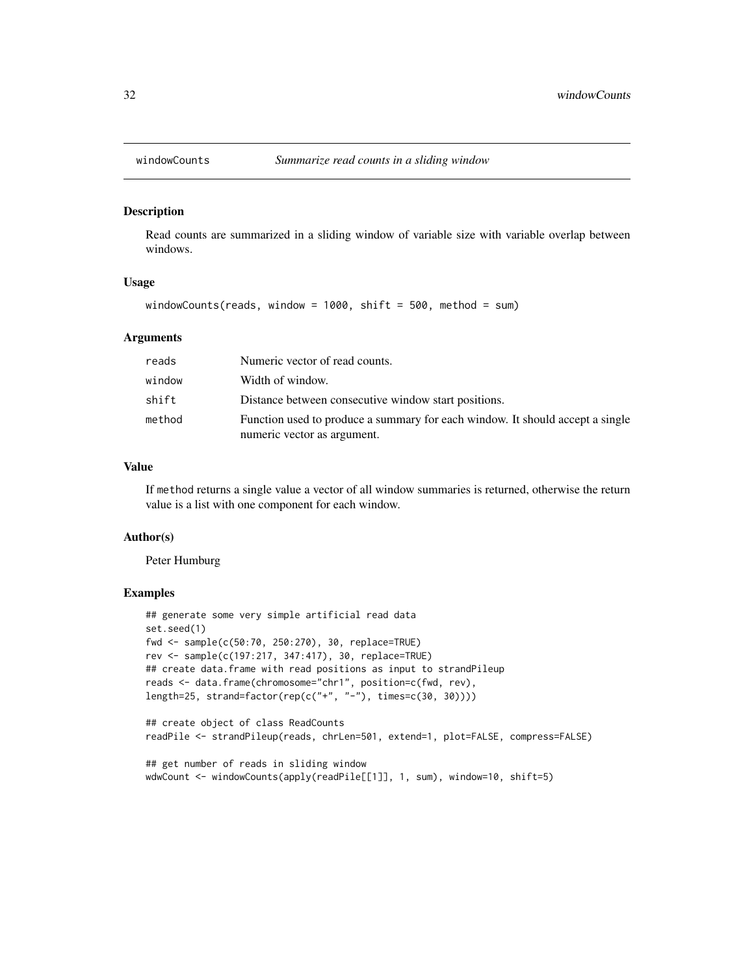<span id="page-31-0"></span>

#### Description

Read counts are summarized in a sliding window of variable size with variable overlap between windows.

#### Usage

windowCounts(reads, window = 1000, shift = 500, method = sum)

#### Arguments

| reads  | Numeric vector of read counts.                                                                               |
|--------|--------------------------------------------------------------------------------------------------------------|
| window | Width of window.                                                                                             |
| shift  | Distance between consecutive window start positions.                                                         |
| method | Function used to produce a summary for each window. It should accept a single<br>numeric vector as argument. |

# Value

If method returns a single value a vector of all window summaries is returned, otherwise the return value is a list with one component for each window.

#### Author(s)

Peter Humburg

#### Examples

```
## generate some very simple artificial read data
set.seed(1)
fwd <- sample(c(50:70, 250:270), 30, replace=TRUE)
rev <- sample(c(197:217, 347:417), 30, replace=TRUE)
## create data.frame with read positions as input to strandPileup
reads <- data.frame(chromosome="chr1", position=c(fwd, rev),
length=25, strand=factor(rep(c("+", "-"), times=c(30, 30))))
```

```
## create object of class ReadCounts
readPile <- strandPileup(reads, chrLen=501, extend=1, plot=FALSE, compress=FALSE)
```

```
## get number of reads in sliding window
wdwCount <- windowCounts(apply(readPile[[1]], 1, sum), window=10, shift=5)
```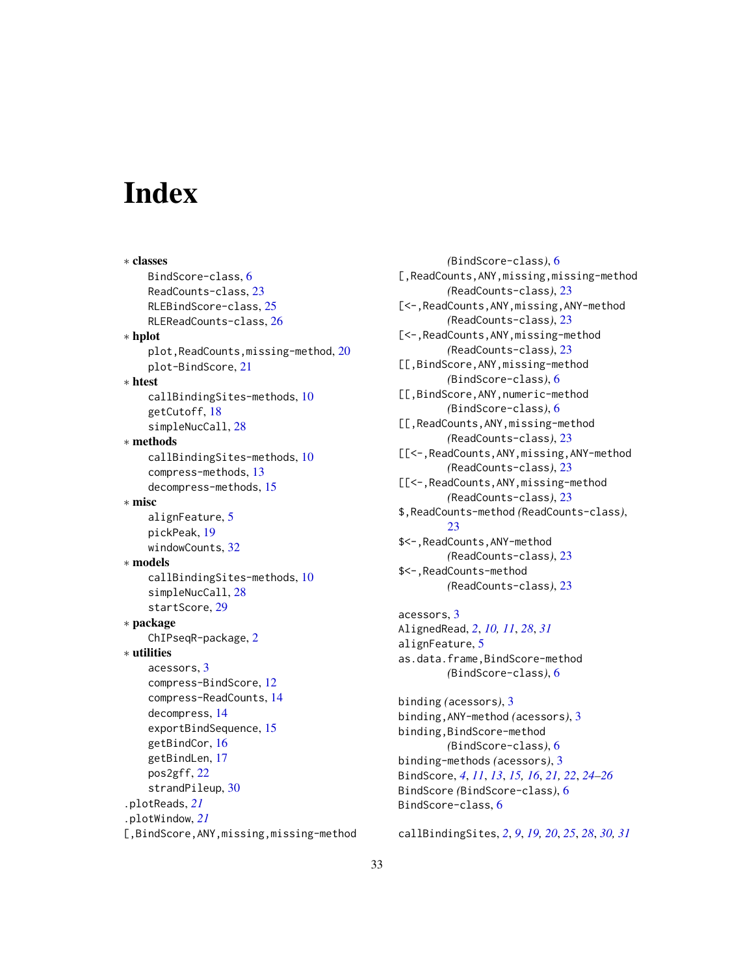# <span id="page-32-0"></span>**Index**

∗ classes BindScore-class, [6](#page-5-0) ReadCounts-class, [23](#page-22-0) RLEBindScore-class, [25](#page-24-0) RLEReadCounts-class, [26](#page-25-0) ∗ hplot plot, ReadCounts, missing-method, [20](#page-19-0) plot-BindScore, [21](#page-20-0) ∗ htest callBindingSites-methods, [10](#page-9-0) getCutoff, [18](#page-17-0) simpleNucCall, [28](#page-27-0) ∗ methods callBindingSites-methods, [10](#page-9-0) compress-methods, [13](#page-12-0) decompress-methods, [15](#page-14-0) ∗ misc alignFeature, [5](#page-4-0) pickPeak, [19](#page-18-0) windowCounts, [32](#page-31-0) ∗ models callBindingSites-methods, [10](#page-9-0) simpleNucCall, [28](#page-27-0) startScore, [29](#page-28-0) ∗ package ChIPseqR-package, [2](#page-1-0) ∗ utilities acessors, [3](#page-2-0) compress-BindScore, [12](#page-11-0) compress-ReadCounts, [14](#page-13-0) decompress, [14](#page-13-0) exportBindSequence, [15](#page-14-0) getBindCor, [16](#page-15-0) getBindLen, [17](#page-16-0) pos2gff, [22](#page-21-0) strandPileup, [30](#page-29-0) .plotReads, *[21](#page-20-0)* .plotWindow, *[21](#page-20-0)* [,BindScore,ANY,missing,missing-method

*(*BindScore-class*)*, [6](#page-5-0) [,ReadCounts,ANY,missing,missing-method *(*ReadCounts-class*)*, [23](#page-22-0) [<-,ReadCounts,ANY,missing,ANY-method *(*ReadCounts-class*)*, [23](#page-22-0) [<-,ReadCounts,ANY,missing-method *(*ReadCounts-class*)*, [23](#page-22-0) [[,BindScore,ANY,missing-method *(*BindScore-class*)*, [6](#page-5-0) [[,BindScore,ANY,numeric-method *(*BindScore-class*)*, [6](#page-5-0) [[,ReadCounts,ANY,missing-method *(*ReadCounts-class*)*, [23](#page-22-0) [[<-,ReadCounts,ANY,missing,ANY-method *(*ReadCounts-class*)*, [23](#page-22-0) [[<-,ReadCounts,ANY,missing-method *(*ReadCounts-class*)*, [23](#page-22-0) \$,ReadCounts-method *(*ReadCounts-class*)*, [23](#page-22-0) \$<-,ReadCounts,ANY-method *(*ReadCounts-class*)*, [23](#page-22-0) \$<-,ReadCounts-method *(*ReadCounts-class*)*, [23](#page-22-0) acessors, [3](#page-2-0) AlignedRead, *[2](#page-1-0)*, *[10,](#page-9-0) [11](#page-10-0)*, *[28](#page-27-0)*, *[31](#page-30-0)* alignFeature, [5](#page-4-0) as.data.frame,BindScore-method *(*BindScore-class*)*, [6](#page-5-0) binding *(*acessors*)*, [3](#page-2-0)

binding,ANY-method *(*acessors*)*, [3](#page-2-0) binding,BindScore-method *(*BindScore-class*)*, [6](#page-5-0) binding-methods *(*acessors*)*, [3](#page-2-0) BindScore, *[4](#page-3-0)*, *[11](#page-10-0)*, *[13](#page-12-0)*, *[15,](#page-14-0) [16](#page-15-0)*, *[21,](#page-20-0) [22](#page-21-0)*, *[24](#page-23-0)[–26](#page-25-0)* BindScore *(*BindScore-class*)*, [6](#page-5-0) BindScore-class, [6](#page-5-0)

callBindingSites, *[2](#page-1-0)*, *[9](#page-8-0)*, *[19,](#page-18-0) [20](#page-19-0)*, *[25](#page-24-0)*, *[28](#page-27-0)*, *[30,](#page-29-0) [31](#page-30-0)*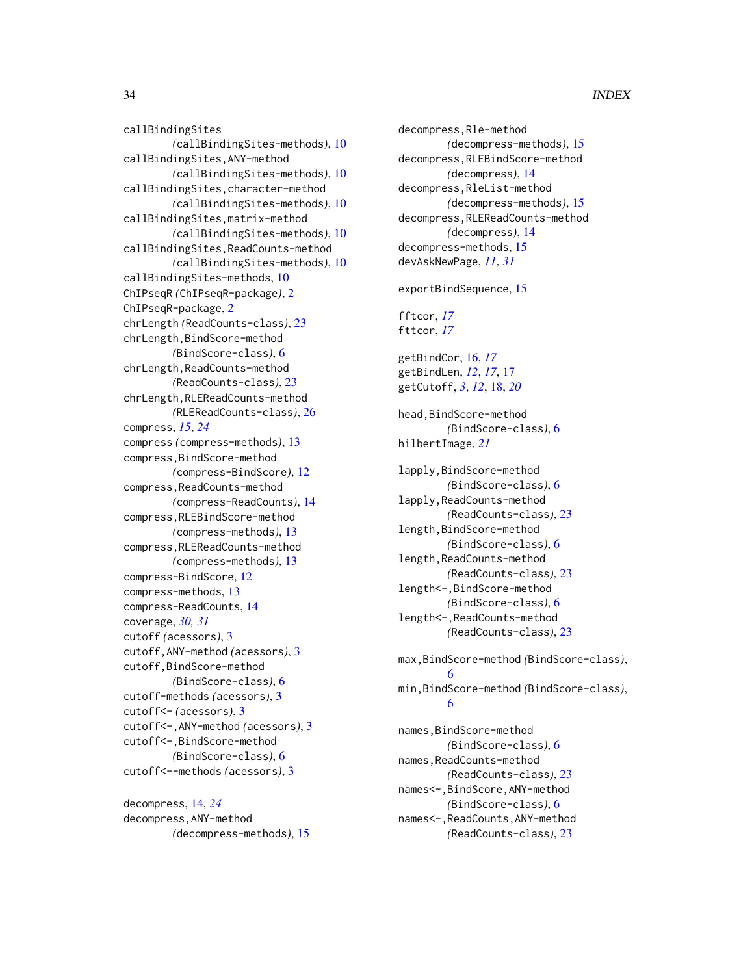# 34 INDEX

callBindingSites *(*callBindingSites-methods*)*, [10](#page-9-0) callBindingSites,ANY-method *(*callBindingSites-methods*)*, [10](#page-9-0) callBindingSites,character-method *(*callBindingSites-methods*)*, [10](#page-9-0) callBindingSites,matrix-method *(*callBindingSites-methods*)*, [10](#page-9-0) callBindingSites,ReadCounts-method *(*callBindingSites-methods*)*, [10](#page-9-0) callBindingSites-methods, [10](#page-9-0) ChIPseqR *(*ChIPseqR-package*)*, [2](#page-1-0) ChIPseqR-package, [2](#page-1-0) chrLength *(*ReadCounts-class*)*, [23](#page-22-0) chrLength, BindScore-method *(*BindScore-class*)*, [6](#page-5-0) chrLength, ReadCounts-method *(*ReadCounts-class*)*, [23](#page-22-0) chrLength,RLEReadCounts-method *(*RLEReadCounts-class*)*, [26](#page-25-0) compress, *[15](#page-14-0)*, *[24](#page-23-0)* compress *(*compress-methods*)*, [13](#page-12-0) compress,BindScore-method *(*compress-BindScore*)*, [12](#page-11-0) compress,ReadCounts-method *(*compress-ReadCounts*)*, [14](#page-13-0) compress,RLEBindScore-method *(*compress-methods*)*, [13](#page-12-0) compress,RLEReadCounts-method *(*compress-methods*)*, [13](#page-12-0) compress-BindScore, [12](#page-11-0) compress-methods, [13](#page-12-0) compress-ReadCounts, [14](#page-13-0) coverage, *[30,](#page-29-0) [31](#page-30-0)* cutoff *(*acessors*)*, [3](#page-2-0) cutoff,ANY-method *(*acessors*)*, [3](#page-2-0) cutoff,BindScore-method *(*BindScore-class*)*, [6](#page-5-0) cutoff-methods *(*acessors*)*, [3](#page-2-0) cutoff<- *(*acessors*)*, [3](#page-2-0) cutoff<-,ANY-method *(*acessors*)*, [3](#page-2-0) cutoff<-,BindScore-method *(*BindScore-class*)*, [6](#page-5-0) cutoff<--methods *(*acessors*)*, [3](#page-2-0)

decompress, [14,](#page-13-0) *[24](#page-23-0)* decompress,ANY-method *(*decompress-methods*)*, [15](#page-14-0)

decompress,Rle-method *(*decompress-methods*)*, [15](#page-14-0) decompress,RLEBindScore-method *(*decompress*)*, [14](#page-13-0) decompress,RleList-method *(*decompress-methods*)*, [15](#page-14-0) decompress,RLEReadCounts-method *(*decompress*)*, [14](#page-13-0) decompress-methods, [15](#page-14-0) devAskNewPage, *[11](#page-10-0)*, *[31](#page-30-0)* exportBindSequence, [15](#page-14-0) fftcor, *[17](#page-16-0)* fttcor, *[17](#page-16-0)* getBindCor, [16,](#page-15-0) *[17](#page-16-0)* getBindLen, *[12](#page-11-0)*, *[17](#page-16-0)*, [17](#page-16-0) getCutoff, *[3](#page-2-0)*, *[12](#page-11-0)*, [18,](#page-17-0) *[20](#page-19-0)* head,BindScore-method *(*BindScore-class*)*, [6](#page-5-0) hilbertImage, *[21](#page-20-0)* lapply,BindScore-method *(*BindScore-class*)*, [6](#page-5-0) lapply,ReadCounts-method *(*ReadCounts-class*)*, [23](#page-22-0) length,BindScore-method *(*BindScore-class*)*, [6](#page-5-0) length,ReadCounts-method *(*ReadCounts-class*)*, [23](#page-22-0) length<-,BindScore-method *(*BindScore-class*)*, [6](#page-5-0) length<-,ReadCounts-method *(*ReadCounts-class*)*, [23](#page-22-0) max,BindScore-method *(*BindScore-class*)*, [6](#page-5-0) min,BindScore-method *(*BindScore-class*)*, [6](#page-5-0) names, BindScore-method *(*BindScore-class*)*, [6](#page-5-0) names,ReadCounts-method

*(*ReadCounts-class*)*, [23](#page-22-0) names<-,BindScore,ANY-method *(*BindScore-class*)*, [6](#page-5-0) names<-,ReadCounts,ANY-method *(*ReadCounts-class*)*, [23](#page-22-0)